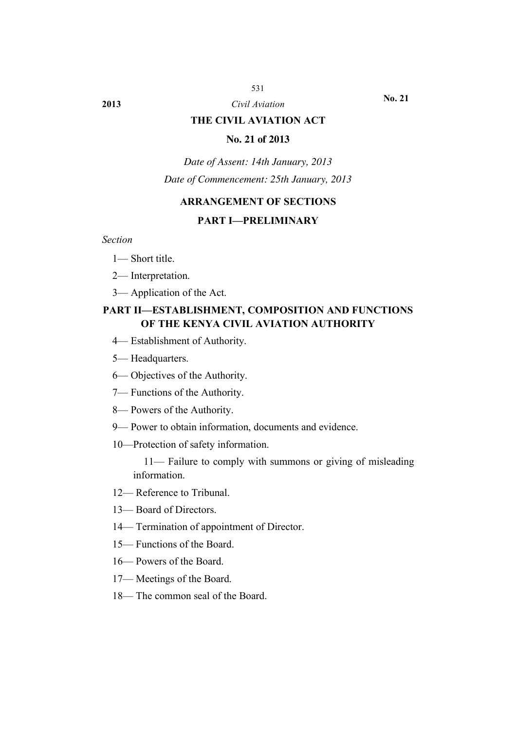#### 531

# **2013** *Civil Aviation*

**No. 21**

## **THE CIVIL AVIATION ACT**

### **No. 21 of 2013**

*Date of Assent: 14th January, 2013 Date of Commencement: 25th January, 2013*

## **ARRANGEMENT OF SECTIONS**

### **PART I—PRELIMINARY**

*Section*

- 1— Short title.
- 2— Interpretation.
- 3— Application of the Act.

## **PART II—ESTABLISHMENT, COMPOSITION AND FUNCTIONS OF THE KENYA CIVIL AVIATION AUTHORITY**

- 4— Establishment of Authority.
- 5— Headquarters.
- 6— Objectives of the Authority.
- 7— Functions of the Authority.
- 8— Powers of the Authority.
- 9— Power to obtain information, documents and evidence.
- 10—Protection of safety information.

11— Failure to comply with summons or giving of misleading information.

- 12— Reference to Tribunal.
- 13— Board of Directors.
- 14— Termination of appointment of Director.
- 15— Functions of the Board.
- 16— Powers of the Board.
- 17— Meetings of the Board.
- 18— The common seal of the Board.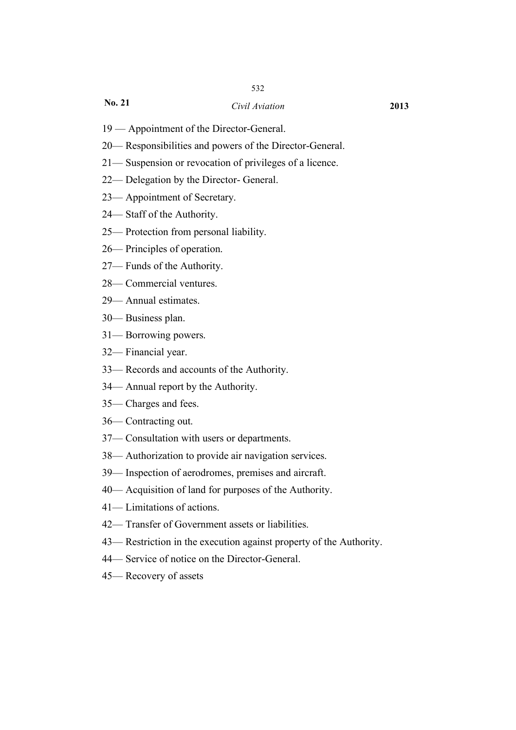### *Civil Aviation* **2013**

- 19 Appointment of the Director-General.
- 20— Responsibilities and powers of the Director-General.
- 21— Suspension or revocation of privileges of a licence.
- 22— Delegation by the Director- General.
- 23— Appointment of Secretary.
- 24— Staff of the Authority.
- 25— Protection from personal liability.
- 26— Principles of operation.
- 27— Funds of the Authority.
- 28— Commercial ventures.
- 29— Annual estimates.
- 30— Business plan.
- 31— Borrowing powers.
- 32— Financial year.
- 33— Records and accounts of the Authority.
- 34— Annual report by the Authority.
- 35— Charges and fees.
- 36— Contracting out.
- 37— Consultation with users or departments.
- 38— Authorization to provide air navigation services.
- 39— Inspection of aerodromes, premises and aircraft.
- 40— Acquisition of land for purposes of the Authority.
- 41— Limitations of actions.
- 42— Transfer of Government assets or liabilities.
- 43— Restriction in the execution against property of the Authority.
- 44— Service of notice on the Director-General.
- 45— Recovery of assets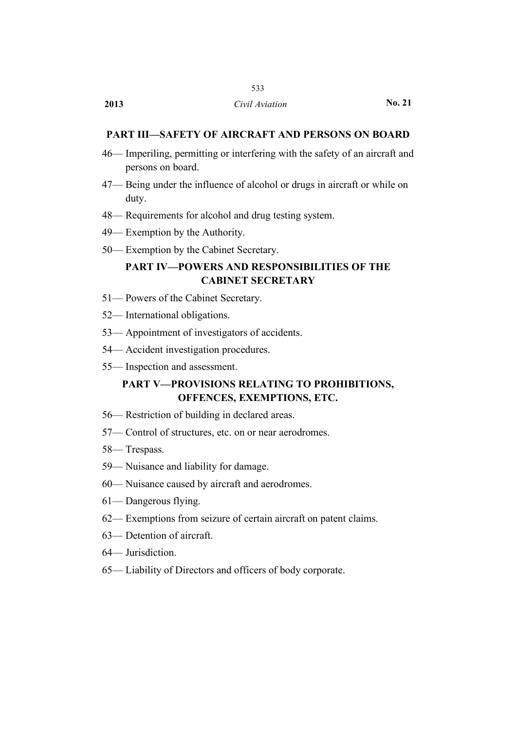## 533

### **PART III—SAFETY OF AIRCRAFT AND PERSONS ON BOARD**

- 46— Imperiling, permitting or interfering with the safety of an aircraft and persons on board.
- 47— Being under the influence of alcohol or drugs in aircraft or while on duty.
- 48— Requirements for alcohol and drug testing system.
- 49— Exemption by the Authority.
- 50— Exemption by the Cabinet Secretary.

## **PART IV—POWERS AND RESPONSIBILITIES OF THE CABINET SECRETARY**

- 51— Powers of the Cabinet Secretary.
- 52— International obligations.
- 53— Appointment of investigators of accidents.
- 54— Accident investigation procedures.
- 55— Inspection and assessment.

## **PART V—PROVISIONS RELATING TO PROHIBITIONS, OFFENCES, EXEMPTIONS, ETC.**

- 56— Restriction of building in declared areas.
- 57— Control of structures, etc. on or near aerodromes.
- 58— Trespass.
- 59— Nuisance and liability for damage.
- 60— Nuisance caused by aircraft and aerodromes.
- 61— Dangerous flying.
- 62— Exemptions from seizure of certain aircraft on patent claims.
- 63— Detention of aircraft.
- 64— Jurisdiction.
- 65— Liability of Directors and officers of body corporate.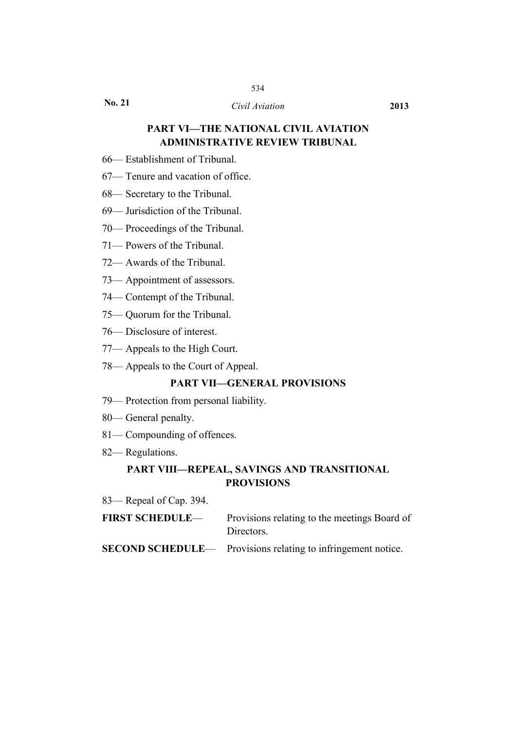## 534

**No. 21**

### *Civil Aviation* **2013**

## **PART VI—THE NATIONAL CIVIL AVIATION ADMINISTRATIVE REVIEW TRIBUNAL**

- 66— Establishment of Tribunal.
- 67— Tenure and vacation of office.
- 68— Secretary to the Tribunal.
- 69— Jurisdiction of the Tribunal.
- 70— Proceedings of the Tribunal.
- 71— Powers of the Tribunal.
- 72— Awards of the Tribunal.
- 73— Appointment of assessors.
- 74— Contempt of the Tribunal.
- 75— Quorum for the Tribunal.
- 76— Disclosure of interest.
- 77— Appeals to the High Court.
- 78— Appeals to the Court of Appeal.

### **PART VII—GENERAL PROVISIONS**

- 79— Protection from personal liability.
- 80— General penalty.
- 81— Compounding of offences.
- 82— Regulations.

## **PART VIII—REPEAL, SAVINGS AND TRANSITIONAL PROVISIONS**

83— Repeal of Cap. 394.

| <b>FIRST SCHEDULE—</b> | Provisions relating to the meetings Board of |
|------------------------|----------------------------------------------|
|                        | Directors.                                   |

**SECOND SCHEDULE—** Provisions relating to infringement notice.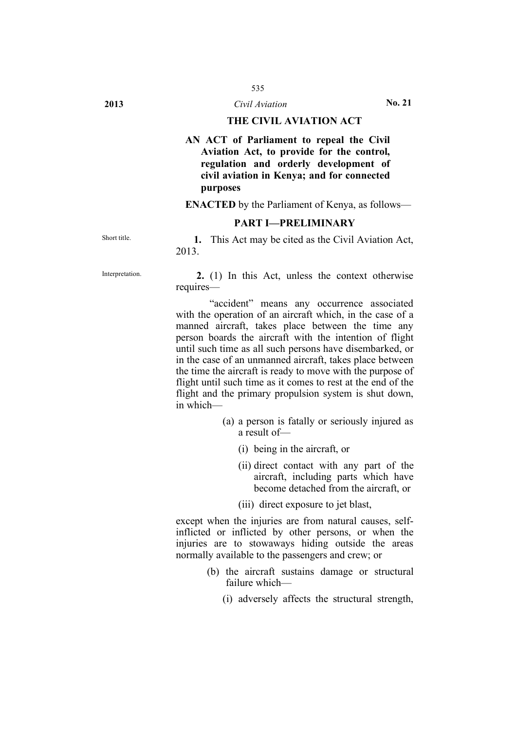## **THE CIVIL AVIATION ACT**

**AN ACT of Parliament to repeal the Civil Aviation Act, to provide for the control, regulation and orderly development of civil aviation in Kenya; and for connected purposes**

**ENACTED** by the Parliament of Kenya, as follows—

#### **PART I—PRELIMINARY**

Short title. **1.** This Act may be cited as the Civil Aviation Act, 2013.

Interpretation. **2.** (1) In this Act, unless the context otherwise requires—

> "accident" means any occurrence associated with the operation of an aircraft which, in the case of a manned aircraft, takes place between the time any person boards the aircraft with the intention of flight until such time as all such persons have disembarked, or in the case of an unmanned aircraft, takes place between the time the aircraft is ready to move with the purpose of flight until such time as it comes to rest at the end of the flight and the primary propulsion system is shut down, in which—

- (a) a person is fatally or seriously injured as a result of—
	- (i) being in the aircraft, or
	- (ii) direct contact with any part of the aircraft, including parts which have become detached from the aircraft, or
	- (iii) direct exposure to jet blast,

except when the injuries are from natural causes, selfinflicted or inflicted by other persons, or when the injuries are to stowaways hiding outside the areas normally available to the passengers and crew; or

- (b) the aircraft sustains damage or structural failure which—
	- (i) adversely affects the structural strength,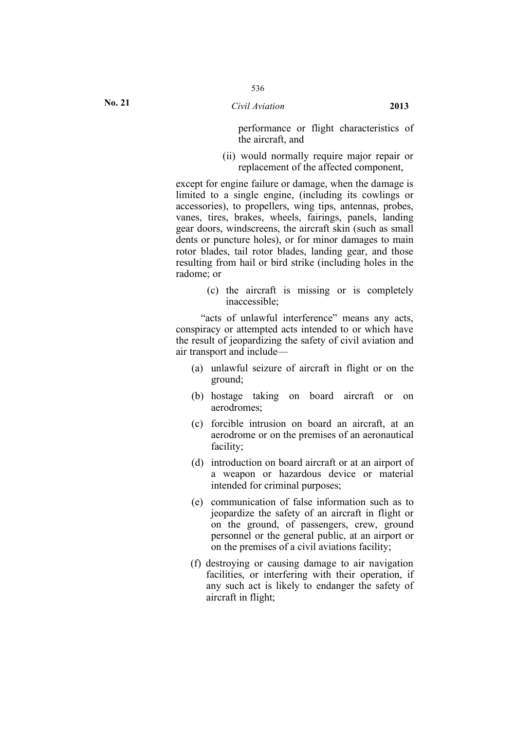performance or flight characteristics of the aircraft, and

(ii) would normally require major repair or replacement of the affected component,

except for engine failure or damage, when the damage is limited to a single engine, (including its cowlings or accessories), to propellers, wing tips, antennas, probes, vanes, tires, brakes, wheels, fairings, panels, landing gear doors, windscreens, the aircraft skin (such as small dents or puncture holes), or for minor damages to main rotor blades, tail rotor blades, landing gear, and those resulting from hail or bird strike (including holes in the radome; or

> (c) the aircraft is missing or is completely inaccessible;

"acts of unlawful interference" means any acts, conspiracy or attempted acts intended to or which have the result of jeopardizing the safety of civil aviation and air transport and include—

- (a) unlawful seizure of aircraft in flight or on the ground;
- (b) hostage taking on board aircraft or on aerodromes;
- (c) forcible intrusion on board an aircraft, at an aerodrome or on the premises of an aeronautical facility;
- (d) introduction on board aircraft or at an airport of a weapon or hazardous device or material intended for criminal purposes;
- (e) communication of false information such as to jeopardize the safety of an aircraft in flight or on the ground, of passengers, crew, ground personnel or the general public, at an airport or on the premises of a civil aviations facility;
- (f) destroying or causing damage to air navigation facilities, or interfering with their operation, if any such act is likely to endanger the safety of aircraft in flight;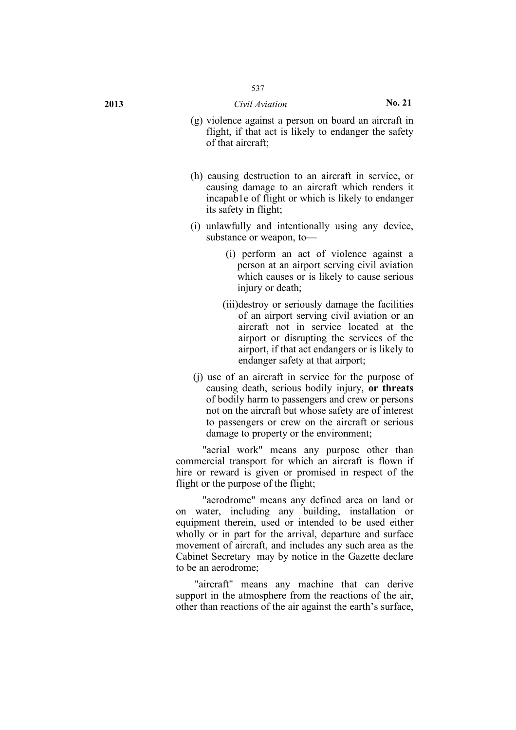- **2013** *Civil Aviation* **No. 21**
	- (g) violence against a person on board an aircraft in flight, if that act is likely to endanger the safety of that aircraft;
	- (h) causing destruction to an aircraft in service, or causing damage to an aircraft which renders it incapab1e of flight or which is likely to endanger its safety in flight;
	- (i) unlawfully and intentionally using any device, substance or weapon, to—
		- (i) perform an act of violence against a person at an airport serving civil aviation which causes or is likely to cause serious injury or death;
		- (iii)destroy or seriously damage the facilities of an airport serving civil aviation or an aircraft not in service located at the airport or disrupting the services of the airport, if that act endangers or is likely to endanger safety at that airport;
	- (j) use of an aircraft in service for the purpose of causing death, serious bodily injury, **or threats** of bodily harm to passengers and crew or persons not on the aircraft but whose safety are of interest to passengers or crew on the aircraft or serious damage to property or the environment;

"aerial work" means any purpose other than commercial transport for which an aircraft is flown if hire or reward is given or promised in respect of the flight or the purpose of the flight;

"aerodrome" means any defined area on land or on water, including any building, installation or equipment therein, used or intended to be used either wholly or in part for the arrival, departure and surface movement of aircraft, and includes any such area as the Cabinet Secretary may by notice in the Gazette declare to be an aerodrome;

"aircraft" means any machine that can derive support in the atmosphere from the reactions of the air, other than reactions of the air against the earth's surface,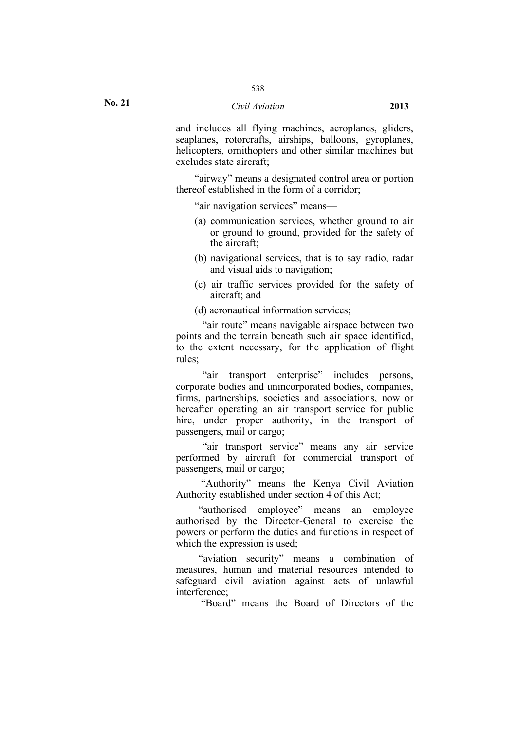### *Civil Aviation* **2013**

and includes all flying machines, aeroplanes, gliders, seaplanes, rotorcrafts, airships, balloons, gyroplanes, helicopters, ornithopters and other similar machines but excludes state aircraft;

"airway" means a designated control area or portion thereof established in the form of a corridor;

"air navigation services" means—

- (a) communication services, whether ground to air or ground to ground, provided for the safety of the aircraft;
- (b) navigational services, that is to say radio, radar and visual aids to navigation;
- (c) air traffic services provided for the safety of aircraft; and
- (d) aeronautical information services;

"air route" means navigable airspace between two points and the terrain beneath such air space identified, to the extent necessary, for the application of flight rules;

"air transport enterprise" includes persons, corporate bodies and unincorporated bodies, companies, firms, partnerships, societies and associations, now or hereafter operating an air transport service for public hire, under proper authority, in the transport of passengers, mail or cargo;

"air transport service" means any air service performed by aircraft for commercial transport of passengers, mail or cargo;

"Authority" means the Kenya Civil Aviation Authority established under section 4 of this Act;

"authorised employee" means an employee authorised by the Director-General to exercise the powers or perform the duties and functions in respect of which the expression is used;

"aviation security" means a combination of measures, human and material resources intended to safeguard civil aviation against acts of unlawful interference;

"Board" means the Board of Directors of the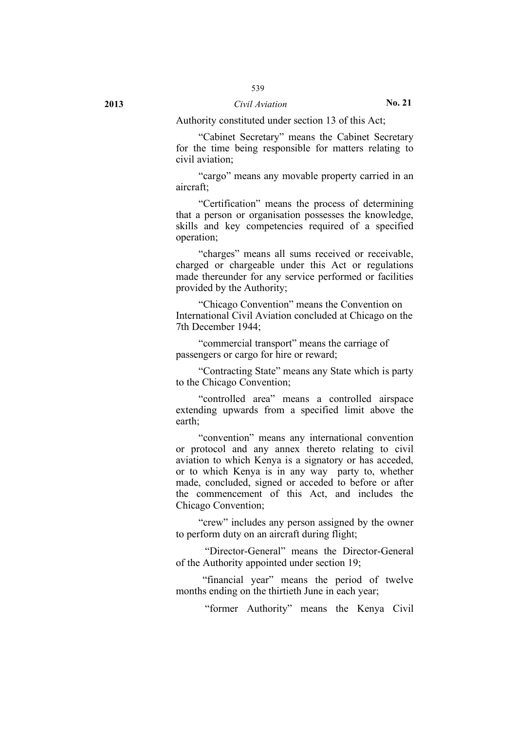Authority constituted under section 13 of this Act;

"Cabinet Secretary" means the Cabinet Secretary for the time being responsible for matters relating to civil aviation;

"cargo" means any movable property carried in an aircraft;

"Certification" means the process of determining that a person or organisation possesses the knowledge, skills and key competencies required of a specified operation;

"charges" means all sums received or receivable, charged or chargeable under this Act or regulations made thereunder for any service performed or facilities provided by the Authority;

"Chicago Convention" means the Convention on International Civil Aviation concluded at Chicago on the 7th December 1944;

"commercial transport" means the carriage of passengers or cargo for hire or reward;

"Contracting State" means any State which is party to the Chicago Convention;

"controlled area" means a controlled airspace extending upwards from a specified limit above the earth;

"convention" means any international convention or protocol and any annex thereto relating to civil aviation to which Kenya is a signatory or has acceded, or to which Kenya is in any way party to, whether made, concluded, signed or acceded to before or after the commencement of this Act, and includes the Chicago Convention;

"crew" includes any person assigned by the owner to perform duty on an aircraft during flight;

"Director-General" means the Director-General of the Authority appointed under section 19;

"financial year" means the period of twelve months ending on the thirtieth June in each year;

"former Authority" means the Kenya Civil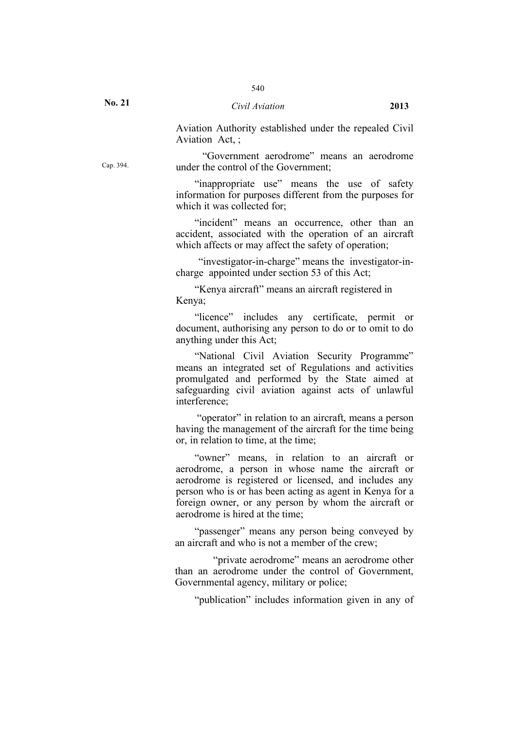Aviation Authority established under the repealed Civil Aviation Act, ;

"Government aerodrome" means an aerodrome under the control of the Government;

"inappropriate use" means the use of safety information for purposes different from the purposes for which it was collected for:

"incident" means an occurrence, other than an accident, associated with the operation of an aircraft which affects or may affect the safety of operation;

"investigator-in-charge" means the investigator-incharge appointed under section 53 of this Act;

"Kenya aircraft" means an aircraft registered in Kenya;

"licence" includes any certificate, permit or document, authorising any person to do or to omit to do anything under this Act;

"National Civil Aviation Security Programme" means an integrated set of Regulations and activities promulgated and performed by the State aimed at safeguarding civil aviation against acts of unlawful interference;

"operator" in relation to an aircraft, means a person having the management of the aircraft for the time being or, in relation to time, at the time;

"owner" means, in relation to an aircraft or aerodrome, a person in whose name the aircraft or aerodrome is registered or licensed, and includes any person who is or has been acting as agent in Kenya for a foreign owner, or any person by whom the aircraft or aerodrome is hired at the time;

"passenger" means any person being conveyed by an aircraft and who is not a member of the crew;

"private aerodrome" means an aerodrome other than an aerodrome under the control of Government, Governmental agency, military or police;

"publication" includes information given in any of

Cap. 394.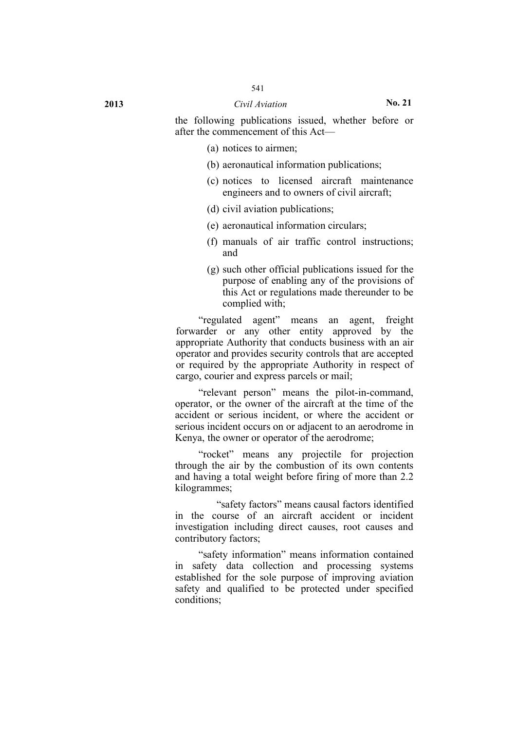the following publications issued, whether before or after the commencement of this Act—

- (a) notices to airmen;
- (b) aeronautical information publications;
- (c) notices to licensed aircraft maintenance engineers and to owners of civil aircraft;
- (d) civil aviation publications;
- (e) aeronautical information circulars;
- (f) manuals of air traffic control instructions; and
- (g) such other official publications issued for the purpose of enabling any of the provisions of this Act or regulations made thereunder to be complied with;

"regulated agent" means an agent, freight forwarder or any other entity approved by the appropriate Authority that conducts business with an air operator and provides security controls that are accepted or required by the appropriate Authority in respect of cargo, courier and express parcels or mail;

"relevant person" means the pilot-in-command, operator, or the owner of the aircraft at the time of the accident or serious incident, or where the accident or serious incident occurs on or adjacent to an aerodrome in Kenya, the owner or operator of the aerodrome;

"rocket" means any projectile for projection through the air by the combustion of its own contents and having a total weight before firing of more than 2.2 kilogrammes;

"safety factors" means causal factors identified in the course of an aircraft accident or incident investigation including direct causes, root causes and contributory factors;

"safety information" means information contained in safety data collection and processing systems established for the sole purpose of improving aviation safety and qualified to be protected under specified conditions;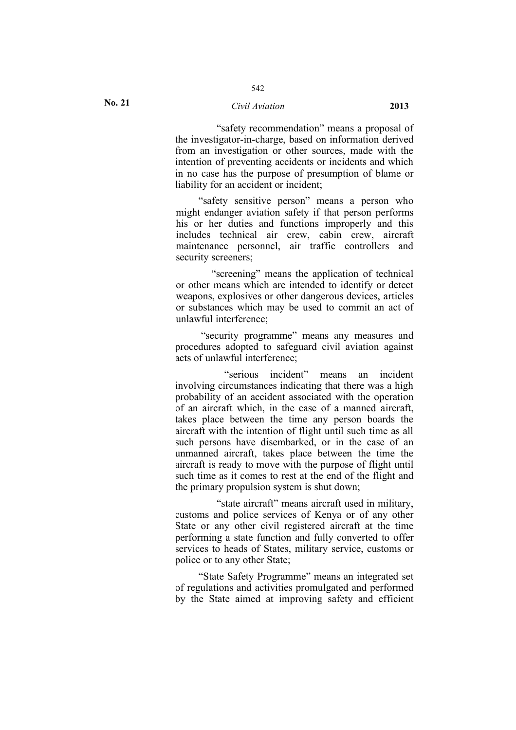#### *Civil Aviation* **2013**

542

"safety recommendation" means a proposal of the investigator-in-charge, based on information derived from an investigation or other sources, made with the intention of preventing accidents or incidents and which in no case has the purpose of presumption of blame or liability for an accident or incident;

"safety sensitive person" means a person who might endanger aviation safety if that person performs his or her duties and functions improperly and this includes technical air crew, cabin crew, aircraft maintenance personnel, air traffic controllers and security screeners;

"screening" means the application of technical or other means which are intended to identify or detect weapons, explosives or other dangerous devices, articles or substances which may be used to commit an act of unlawful interference;

"security programme" means any measures and procedures adopted to safeguard civil aviation against acts of unlawful interference;

"serious incident" means an incident involving circumstances indicating that there was a high probability of an accident associated with the operation of an aircraft which, in the case of a manned aircraft, takes place between the time any person boards the aircraft with the intention of flight until such time as all such persons have disembarked, or in the case of an unmanned aircraft, takes place between the time the aircraft is ready to move with the purpose of flight until such time as it comes to rest at the end of the flight and the primary propulsion system is shut down;

"state aircraft" means aircraft used in military, customs and police services of Kenya or of any other State or any other civil registered aircraft at the time performing a state function and fully converted to offer services to heads of States, military service, customs or police or to any other State;

"State Safety Programme" means an integrated set of regulations and activities promulgated and performed by the State aimed at improving safety and efficient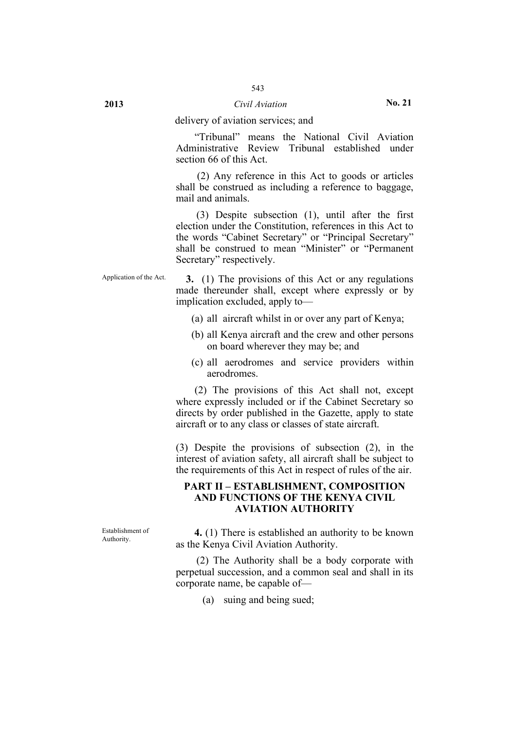"Tribunal" means the National Civil Aviation Administrative Review Tribunal established under section 66 of this Act.

(2) Any reference in this Act to goods or articles shall be construed as including a reference to baggage, mail and animals.

(3) Despite subsection (1), until after the first election under the Constitution, references in this Act to the words "Cabinet Secretary" or "Principal Secretary" shall be construed to mean "Minister" or "Permanent Secretary" respectively.

Application of the Act. **3.** (1) The provisions of this Act or any regulations made thereunder shall, except where expressly or by implication excluded, apply to—

- (a) all aircraft whilst in or over any part of Kenya;
- (b) all Kenya aircraft and the crew and other persons on board wherever they may be; and
- (c) all aerodromes and service providers within aerodromes.

(2) The provisions of this Act shall not, except where expressly included or if the Cabinet Secretary so directs by order published in the Gazette, apply to state aircraft or to any class or classes of state aircraft.

(3) Despite the provisions of subsection (2), in the interest of aviation safety, all aircraft shall be subject to the requirements of this Act in respect of rules of the air.

### **PART II – ESTABLISHMENT, COMPOSITION AND FUNCTIONS OF THE KENYA CIVIL AVIATION AUTHORITY**

Establishment of

Establishment of **4.** (1) There is established an authority to be known Authority. as the Kenya Civil Aviation Authority.

> (2) The Authority shall be a body corporate with perpetual succession, and a common seal and shall in its corporate name, be capable of—

> > (a) suing and being sued;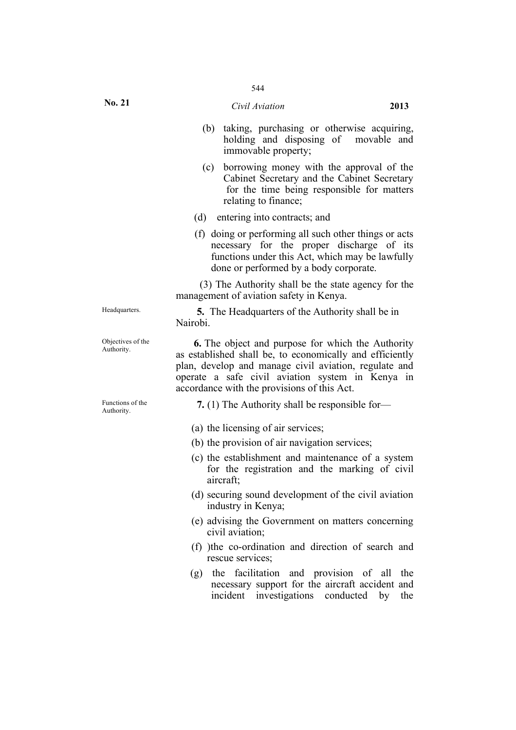- (b) taking, purchasing or otherwise acquiring, holding and disposing of movable and immovable property;
- (c) borrowing money with the approval of the Cabinet Secretary and the Cabinet Secretary for the time being responsible for matters relating to finance;
- (d) entering into contracts; and
- (f) doing or performing all such other things or acts necessary for the proper discharge of its functions under this Act, which may be lawfully done or performed by a body corporate.

(3) The Authority shall be the state agency for the management of aviation safety in Kenya.

Headquarters. **5.** The Headquarters of the Authority shall be in Nairobi.

Objectives of the **6.** The object and purpose for which the Authority Authority as established shall be, to economically and efficiently plan, develop and manage civil aviation, regulate and operate a safe civil aviation system in Kenya in accordance with the provisions of this Act.

Functions of the **7.** (1) The Authority shall be responsible for—<br>Authority.

- (a) the licensing of air services;
- (b) the provision of air navigation services;
- (c) the establishment and maintenance of a system for the registration and the marking of civil aircraft;
- (d) securing sound development of the civil aviation industry in Kenya;
- (e) advising the Government on matters concerning civil aviation;
- (f) )the co-ordination and direction of search and rescue services;
- (g) the facilitation and provision of all the necessary support for the aircraft accident and incident investigations conducted by the

Objectives of the

Functions of the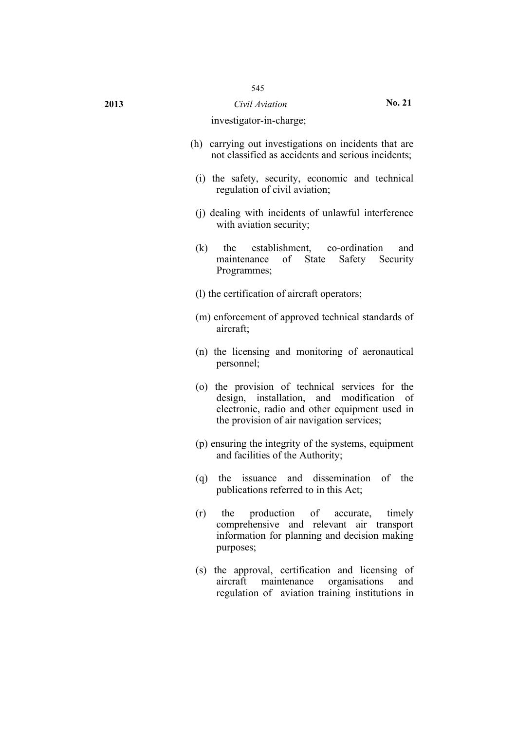#### investigator-in-charge;

- (h) carrying out investigations on incidents that are not classified as accidents and serious incidents;
	- (i) the safety, security, economic and technical regulation of civil aviation;
	- (j) dealing with incidents of unlawful interference with aviation security;
	- (k) the establishment, co-ordination and maintenance of State Safety Security Programmes;
	- (l) the certification of aircraft operators;
	- (m) enforcement of approved technical standards of aircraft;
	- (n) the licensing and monitoring of aeronautical personnel;
	- (o) the provision of technical services for the design, installation, and modification of electronic, radio and other equipment used in the provision of air navigation services;
	- (p) ensuring the integrity of the systems, equipment and facilities of the Authority;
	- (q) the issuance and dissemination of the publications referred to in this Act;
	- (r) the production of accurate, timely comprehensive and relevant air transport information for planning and decision making purposes;
	- (s) the approval, certification and licensing of aircraft maintenance organisations and regulation of aviation training institutions in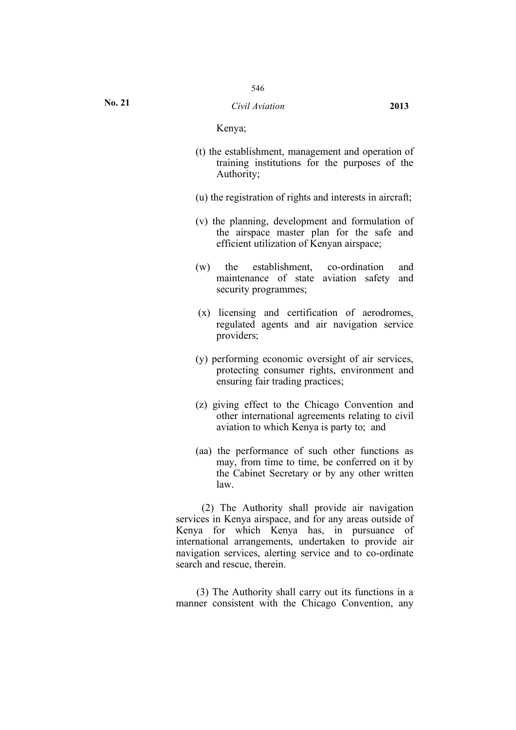Kenya;

- (t) the establishment, management and operation of training institutions for the purposes of the Authority;
- (u) the registration of rights and interests in aircraft;
- (v) the planning, development and formulation of the airspace master plan for the safe and efficient utilization of Kenyan airspace;
- (w) the establishment, co-ordination and maintenance of state aviation safety and security programmes;
- (x) licensing and certification of aerodromes, regulated agents and air navigation service providers;
- (y) performing economic oversight of air services, protecting consumer rights, environment and ensuring fair trading practices;
- (z) giving effect to the Chicago Convention and other international agreements relating to civil aviation to which Kenya is party to; and
- (aa) the performance of such other functions as may, from time to time, be conferred on it by the Cabinet Secretary or by any other written law.

(2) The Authority shall provide air navigation services in Kenya airspace, and for any areas outside of Kenya for which Kenya has, in pursuance of international arrangements, undertaken to provide air navigation services, alerting service and to co-ordinate search and rescue, therein.

(3) The Authority shall carry out its functions in a manner consistent with the Chicago Convention, any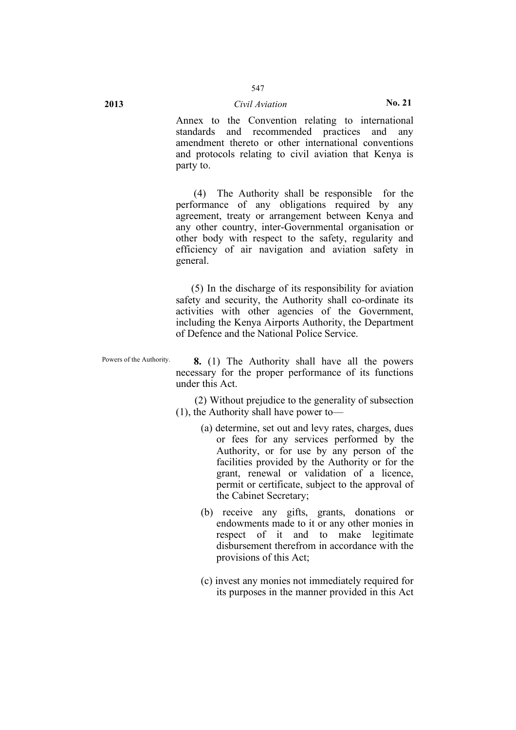Annex to the Convention relating to international standards and recommended practices and any amendment thereto or other international conventions and protocols relating to civil aviation that Kenya is party to.

(4) The Authority shall be responsible for the performance of any obligations required by any agreement, treaty or arrangement between Kenya and any other country, inter-Governmental organisation or other body with respect to the safety, regularity and efficiency of air navigation and aviation safety in general.

(5) In the discharge of its responsibility for aviation safety and security, the Authority shall co-ordinate its activities with other agencies of the Government, including the Kenya Airports Authority, the Department of Defence and the National Police Service.

Powers of the Authority. **8.** (1) The Authority shall have all the powers necessary for the proper performance of its functions under this Act.

> (2) Without prejudice to the generality of subsection (1), the Authority shall have power to—

- (a) determine, set out and levy rates, charges, dues or fees for any services performed by the Authority, or for use by any person of the facilities provided by the Authority or for the grant, renewal or validation of a licence, permit or certificate, subject to the approval of the Cabinet Secretary;
- (b) receive any gifts, grants, donations or endowments made to it or any other monies in respect of it and to make legitimate disbursement therefrom in accordance with the provisions of this Act;
- (c) invest any monies not immediately required for its purposes in the manner provided in this Act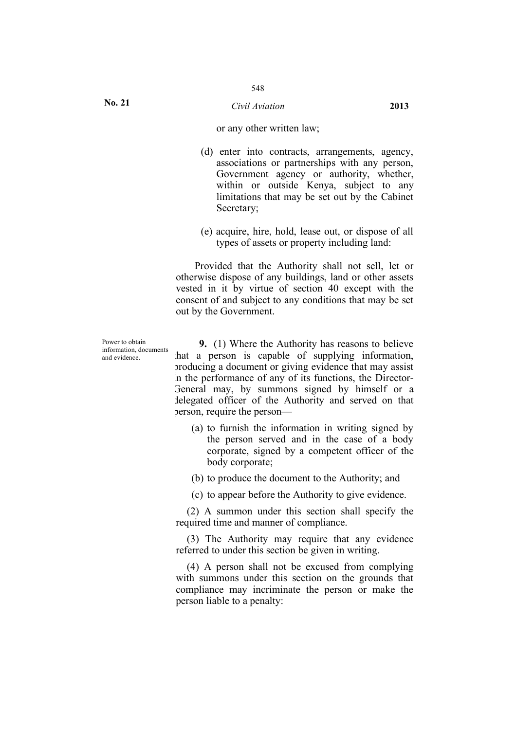#### *Civil Aviation* **2013**

#### or any other written law;

- (d) enter into contracts, arrangements, agency, associations or partnerships with any person, Government agency or authority, whether, within or outside Kenya, subject to any limitations that may be set out by the Cabinet Secretary;
- (e) acquire, hire, hold, lease out, or dispose of all types of assets or property including land:

Provided that the Authority shall not sell, let or otherwise dispose of any buildings, land or other assets vested in it by virtue of section 40 except with the consent of and subject to any conditions that may be set out by the Government.

Power to obtain information, documents and evidence.

**9.** (1) Where the Authority has reasons to believe that a person is capable of supplying information, producing a document or giving evidence that may assist in the performance of any of its functions, the Director-General may, by summons signed by himself or a delegated officer of the Authority and served on that person, require the person—

- (a) to furnish the information in writing signed by the person served and in the case of a body corporate, signed by a competent officer of the body corporate;
- (b) to produce the document to the Authority; and
- (c) to appear before the Authority to give evidence.

(2) A summon under this section shall specify the required time and manner of compliance.

(3) The Authority may require that any evidence referred to under this section be given in writing.

(4) A person shall not be excused from complying with summons under this section on the grounds that compliance may incriminate the person or make the person liable to a penalty: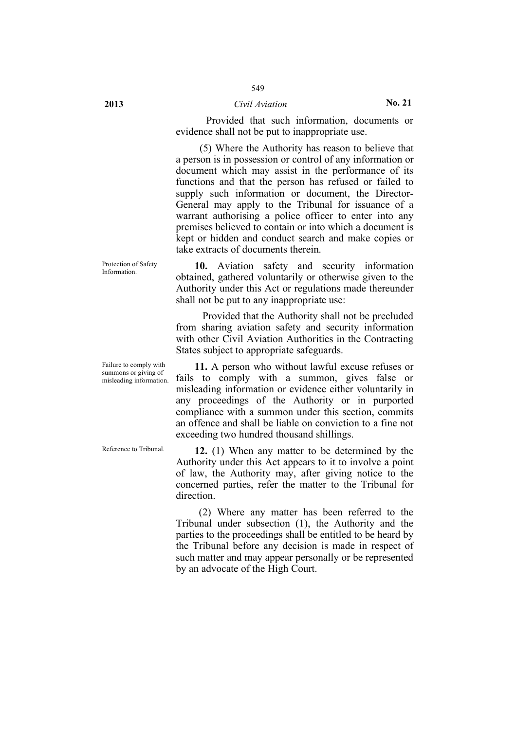### **2013** *Civil Aviation* **No. 21**

Provided that such information, documents or evidence shall not be put to inappropriate use.

(5) Where the Authority has reason to believe that a person is in possession or control of any information or document which may assist in the performance of its functions and that the person has refused or failed to supply such information or document, the Director-General may apply to the Tribunal for issuance of a warrant authorising a police officer to enter into any premises believed to contain or into which a document is kept or hidden and conduct search and make copies or take extracts of documents therein.

10. Aviation safety and security information obtained, gathered voluntarily or otherwise given to the Authority under this Act or regulations made thereunder shall not be put to any inappropriate use:

> Provided that the Authority shall not be precluded from sharing aviation safety and security information with other Civil Aviation Authorities in the Contracting States subject to appropriate safeguards.

> **11.** A person who without lawful excuse refuses or fails to comply with a summon, gives false or misleading information or evidence either voluntarily in any proceedings of the Authority or in purported compliance with a summon under this section, commits an offence and shall be liable on conviction to a fine not exceeding two hundred thousand shillings.

Reference to Tribunal. **12.** (1) When any matter to be determined by the Authority under this Act appears to it to involve a point of law, the Authority may, after giving notice to the concerned parties, refer the matter to the Tribunal for direction.

> (2) Where any matter has been referred to the Tribunal under subsection (1), the Authority and the parties to the proceedings shall be entitled to be heard by the Tribunal before any decision is made in respect of such matter and may appear personally or be represented by an advocate of the High Court.

Protection of Safety<br>Information

Failure to comply with summons or giving of misleading information.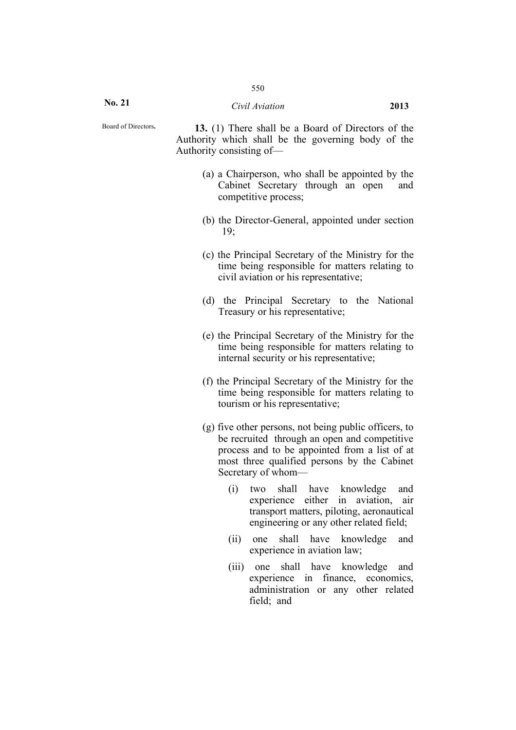**No. 21**

Board of Directors**. 13.** (1) There shall be a Board of Directors of the Authority which shall be the governing body of the Authority consisting of—

- (a) a Chairperson, who shall be appointed by the Cabinet Secretary through an open and competitive process;
- (b) the Director-General, appointed under section 19;
- (c) the Principal Secretary of the Ministry for the time being responsible for matters relating to civil aviation or his representative;
- (d) the Principal Secretary to the National Treasury or his representative;
- (e) the Principal Secretary of the Ministry for the time being responsible for matters relating to internal security or his representative;
- (f) the Principal Secretary of the Ministry for the time being responsible for matters relating to tourism or his representative;
- (g) five other persons, not being public officers, to be recruited through an open and competitive process and to be appointed from a list of at most three qualified persons by the Cabinet Secretary of whom—
	- (i) two shall have knowledge and experience either in aviation, air transport matters, piloting, aeronautical engineering or any other related field;
	- (ii) one shall have knowledge and experience in aviation law;
	- (iii) one shall have knowledge and experience in finance, economics, administration or any other related field; and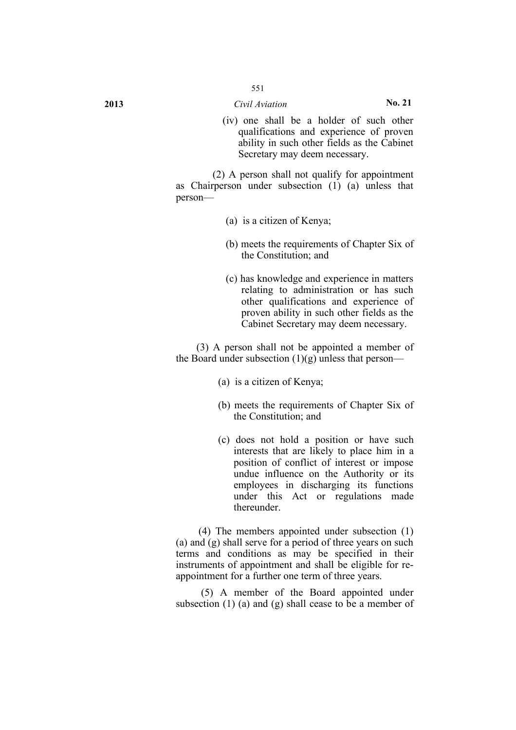(iv) one shall be a holder of such other qualifications and experience of proven ability in such other fields as the Cabinet Secretary may deem necessary.

(2) A person shall not qualify for appointment as Chairperson under subsection (1) (a) unless that person—

- (a) is a citizen of Kenya;
- (b) meets the requirements of Chapter Six of the Constitution; and
- (c) has knowledge and experience in matters relating to administration or has such other qualifications and experience of proven ability in such other fields as the Cabinet Secretary may deem necessary.

(3) A person shall not be appointed a member of the Board under subsection  $(1)(g)$  unless that person—

- (a) is a citizen of Kenya;
- (b) meets the requirements of Chapter Six of the Constitution; and
- (c) does not hold a position or have such interests that are likely to place him in a position of conflict of interest or impose undue influence on the Authority or its employees in discharging its functions under this Act or regulations made thereunder.

(4) The members appointed under subsection (1) (a) and (g) shall serve for a period of three years on such terms and conditions as may be specified in their instruments of appointment and shall be eligible for reappointment for a further one term of three years.

(5) A member of the Board appointed under subsection (1) (a) and (g) shall cease to be a member of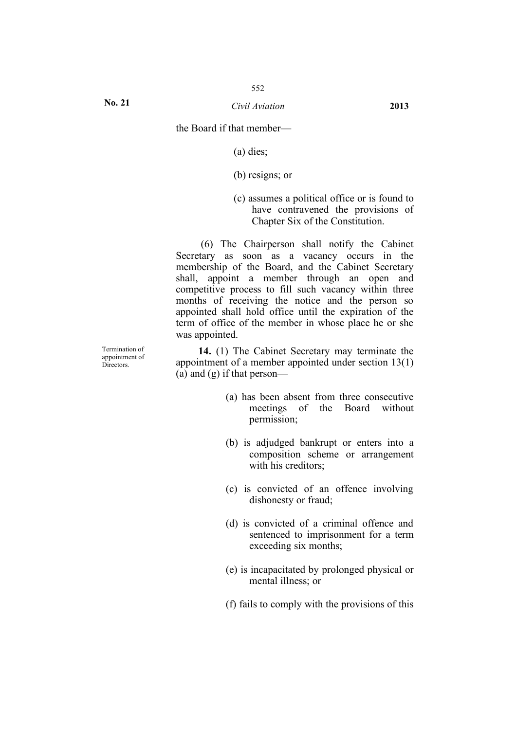**No. 21**

the Board if that member—

(a) dies;

(b) resigns; or

(c) assumes a political office or is found to have contravened the provisions of Chapter Six of the Constitution.

(6) The Chairperson shall notify the Cabinet Secretary as soon as a vacancy occurs in the membership of the Board, and the Cabinet Secretary shall, appoint a member through an open and competitive process to fill such vacancy within three months of receiving the notice and the person so appointed shall hold office until the expiration of the term of office of the member in whose place he or she was appointed.

**14.** (1) The Cabinet Secretary may terminate the appointment of a member appointed under section 13(1) (a) and (g) if that person—

- (a) has been absent from three consecutive meetings of the Board without permission;
- (b) is adjudged bankrupt or enters into a composition scheme or arrangement with his creditors:
- (c) is convicted of an offence involving dishonesty or fraud;
- (d) is convicted of a criminal offence and sentenced to imprisonment for a term exceeding six months;
- (e) is incapacitated by prolonged physical or mental illness; or
- (f) fails to comply with the provisions of this

Termination of appointment of Directors.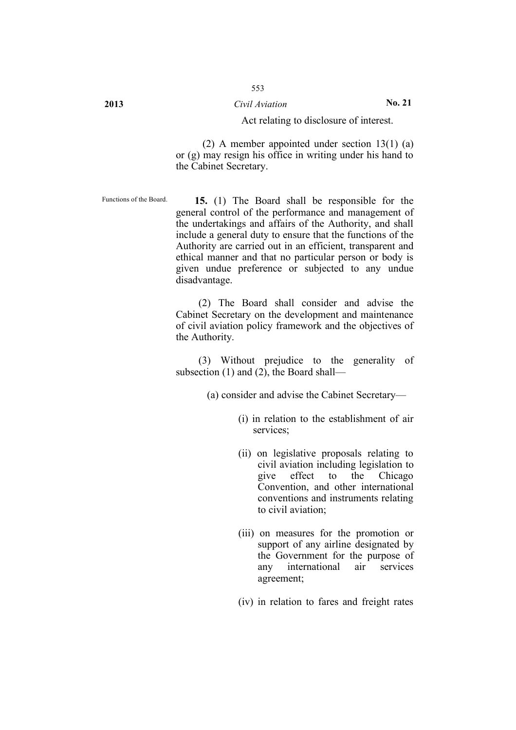## **2013** *Civil Aviation* **No. 21**

#### Act relating to disclosure of interest.

(2) A member appointed under section 13(1) (a) or (g) may resign his office in writing under his hand to the Cabinet Secretary.

Functions of the Board. **15.** (1) The Board shall be responsible for the general control of the performance and management of the undertakings and affairs of the Authority, and shall include a general duty to ensure that the functions of the Authority are carried out in an efficient, transparent and ethical manner and that no particular person or body is given undue preference or subjected to any undue disadvantage.

> (2) The Board shall consider and advise the Cabinet Secretary on the development and maintenance of civil aviation policy framework and the objectives of the Authority.

> (3) Without prejudice to the generality of subsection (1) and (2), the Board shall—

> > (a) consider and advise the Cabinet Secretary—

- (i) in relation to the establishment of air services;
- (ii) on legislative proposals relating to civil aviation including legislation to give effect to the Chicago Convention, and other international conventions and instruments relating to civil aviation;
- (iii) on measures for the promotion or support of any airline designated by the Government for the purpose of any international air services agreement;
- (iv) in relation to fares and freight rates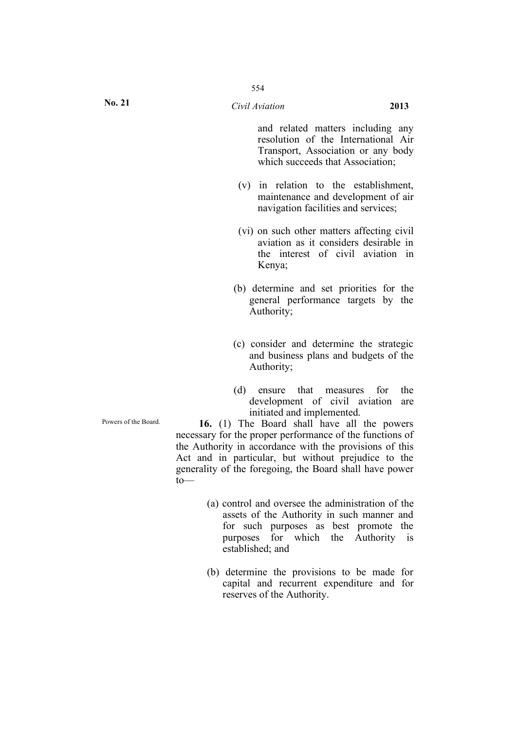and related matters including any resolution of the International Air Transport, Association or any body which succeeds that Association;

- (v) in relation to the establishment, maintenance and development of air navigation facilities and services;
- (vi) on such other matters affecting civil aviation as it considers desirable in the interest of civil aviation in Kenya;
- (b) determine and set priorities for the general performance targets by the Authority;
- (c) consider and determine the strategic and business plans and budgets of the Authority;
- (d) ensure that measures for the development of civil aviation are initiated and implemented.

Powers of the Board. **16.** (1) The Board shall have all the powers necessary for the proper performance of the functions of the Authority in accordance with the provisions of this Act and in particular, but without prejudice to the generality of the foregoing, the Board shall have power to—

- (a) control and oversee the administration of the assets of the Authority in such manner and for such purposes as best promote the purposes for which the Authority is established; and
- (b) determine the provisions to be made for capital and recurrent expenditure and for reserves of the Authority.

**No. 21**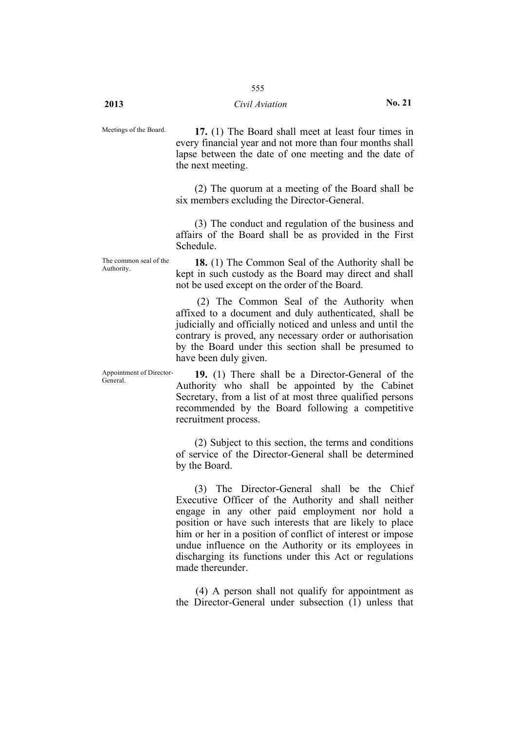Meetings of the Board. **17.** (1) The Board shall meet at least four times in every financial year and not more than four months shall lapse between the date of one meeting and the date of the next meeting.

> (2) The quorum at a meeting of the Board shall be six members excluding the Director-General.

> (3) The conduct and regulation of the business and affairs of the Board shall be as provided in the First Schedule.

The common seal of the

The common seal of the **18.** (1) The Common Seal of the Authority shall be Authority kept in such custody as the Board may direct and shall not be used except on the order of the Board.

> (2) The Common Seal of the Authority when affixed to a document and duly authenticated, shall be judicially and officially noticed and unless and until the contrary is proved, any necessary order or authorisation by the Board under this section shall be presumed to have been duly given.

Appointment of Director-<br>General of the General of the General of the General of the General of the Seneral of the Seneral of the Seneral of the Seneral of the Seneral of the Seneral of the Seneral of the Seneral of the Se Authority who shall be appointed by the Cabinet Secretary, from a list of at most three qualified persons recommended by the Board following a competitive recruitment process.

> (2) Subject to this section, the terms and conditions of service of the Director-General shall be determined by the Board.

> (3) The Director-General shall be the Chief Executive Officer of the Authority and shall neither engage in any other paid employment nor hold a position or have such interests that are likely to place him or her in a position of conflict of interest or impose undue influence on the Authority or its employees in discharging its functions under this Act or regulations made thereunder.

> (4) A person shall not qualify for appointment as the Director-General under subsection (1) unless that

Appointment of Director-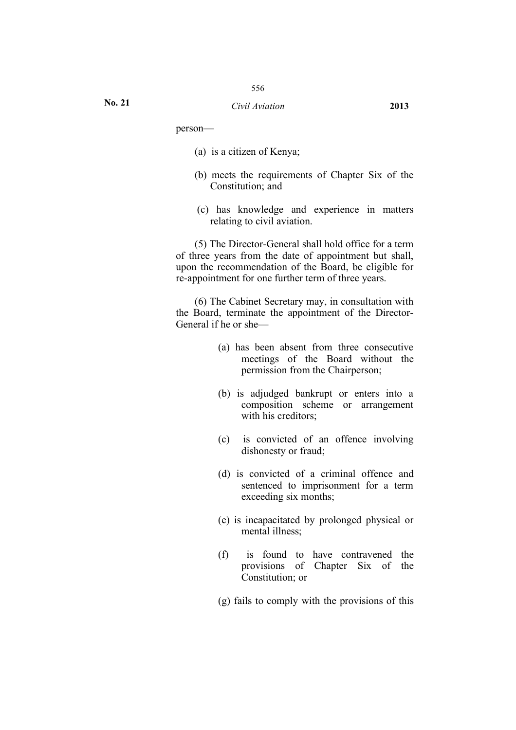person—

**No. 21**

- (a) is a citizen of Kenya;
- (b) meets the requirements of Chapter Six of the Constitution; and
- (c) has knowledge and experience in matters relating to civil aviation.

(5) The Director-General shall hold office for a term of three years from the date of appointment but shall, upon the recommendation of the Board, be eligible for re-appointment for one further term of three years.

(6) The Cabinet Secretary may, in consultation with the Board, terminate the appointment of the Director-General if he or she—

- (a) has been absent from three consecutive meetings of the Board without the permission from the Chairperson;
- (b) is adjudged bankrupt or enters into a composition scheme or arrangement with his creditors:
- (c) is convicted of an offence involving dishonesty or fraud;
- (d) is convicted of a criminal offence and sentenced to imprisonment for a term exceeding six months;
- (e) is incapacitated by prolonged physical or mental illness;
- (f) is found to have contravened the provisions of Chapter Six of the Constitution; or
- (g) fails to comply with the provisions of this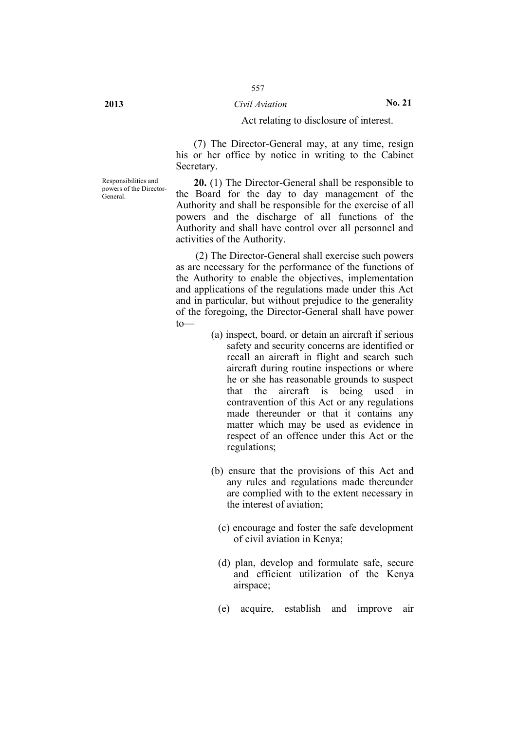## **2013** *Civil Aviation* **No. 21**

#### Act relating to disclosure of interest.

(7) The Director-General may, at any time, resign his or her office by notice in writing to the Cabinet Secretary.

**20.** (1) The Director-General shall be responsible to the Board for the day to day management of the Authority and shall be responsible for the exercise of all powers and the discharge of all functions of the Authority and shall have control over all personnel and activities of the Authority.

(2) The Director-General shall exercise such powers as are necessary for the performance of the functions of the Authority to enable the objectives, implementation and applications of the regulations made under this Act and in particular, but without prejudice to the generality of the foregoing, the Director-General shall have power to—

- (a) inspect, board, or detain an aircraft if serious safety and security concerns are identified or recall an aircraft in flight and search such aircraft during routine inspections or where he or she has reasonable grounds to suspect that the aircraft is being used in contravention of this Act or any regulations made thereunder or that it contains any matter which may be used as evidence in respect of an offence under this Act or the regulations;
- (b) ensure that the provisions of this Act and any rules and regulations made thereunder are complied with to the extent necessary in the interest of aviation;
	- (c) encourage and foster the safe development of civil aviation in Kenya;
	- (d) plan, develop and formulate safe, secure and efficient utilization of the Kenya airspace;
	- (e) acquire, establish and improve air

Responsibilities and powers of the Director-

General.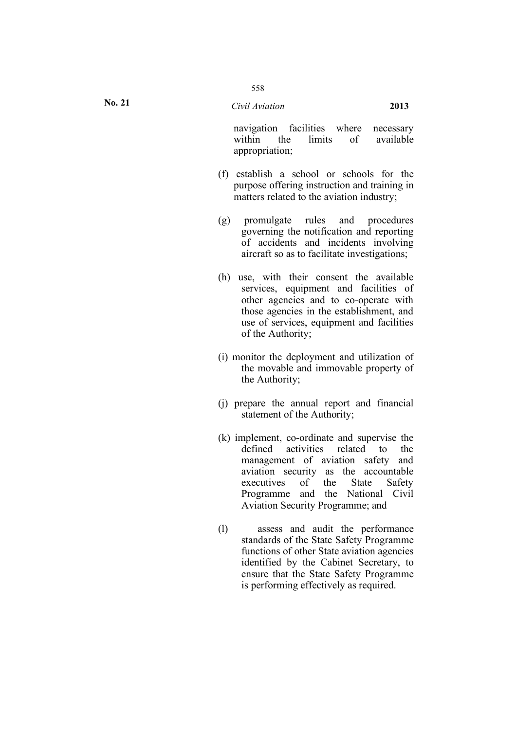navigation facilities where necessary within the limits of available appropriation;

- (f) establish a school or schools for the purpose offering instruction and training in matters related to the aviation industry;
- (g) promulgate rules and procedures governing the notification and reporting of accidents and incidents involving aircraft so as to facilitate investigations;
- (h) use, with their consent the available services, equipment and facilities of other agencies and to co-operate with those agencies in the establishment, and use of services, equipment and facilities of the Authority;
- (i) monitor the deployment and utilization of the movable and immovable property of the Authority;
- (j) prepare the annual report and financial statement of the Authority;
- (k) implement, co-ordinate and supervise the defined activities related to the management of aviation safety and aviation security as the accountable executives of the State Safety Programme and the National Civil Aviation Security Programme; and
- (l) assess and audit the performance standards of the State Safety Programme functions of other State aviation agencies identified by the Cabinet Secretary, to ensure that the State Safety Programme is performing effectively as required.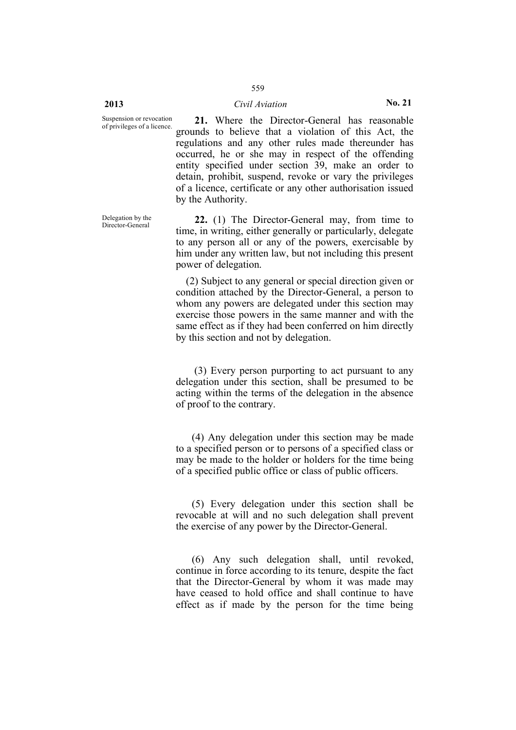#### **2013** *Civil Aviation* **No. 21**

559

Suspension or revocation<br>of privileges of a licence. 21. Where the Director-General has reasonable grounds to believe that a violation of this Act, the regulations and any other rules made thereunder has occurred, he or she may in respect of the offending entity specified under section 39, make an order to detain, prohibit, suspend, revoke or vary the privileges of a licence, certificate or any other authorisation issued by the Authority.

> 22. (1) The Director-General may, from time to time, in writing, either generally or particularly, delegate to any person all or any of the powers, exercisable by him under any written law, but not including this present power of delegation.

(2) Subject to any general or special direction given or condition attached by the Director-General, a person to whom any powers are delegated under this section may exercise those powers in the same manner and with the same effect as if they had been conferred on him directly by this section and not by delegation.

(3) Every person purporting to act pursuant to any delegation under this section, shall be presumed to be acting within the terms of the delegation in the absence of proof to the contrary.

(4) Any delegation under this section may be made to a specified person or to persons of a specified class or may be made to the holder or holders for the time being of a specified public office or class of public officers.

(5) Every delegation under this section shall be revocable at will and no such delegation shall prevent the exercise of any power by the Director-General.

(6) Any such delegation shall, until revoked, continue in force according to its tenure, despite the fact that the Director-General by whom it was made may have ceased to hold office and shall continue to have effect as if made by the person for the time being

Delegation by the<br>Director-General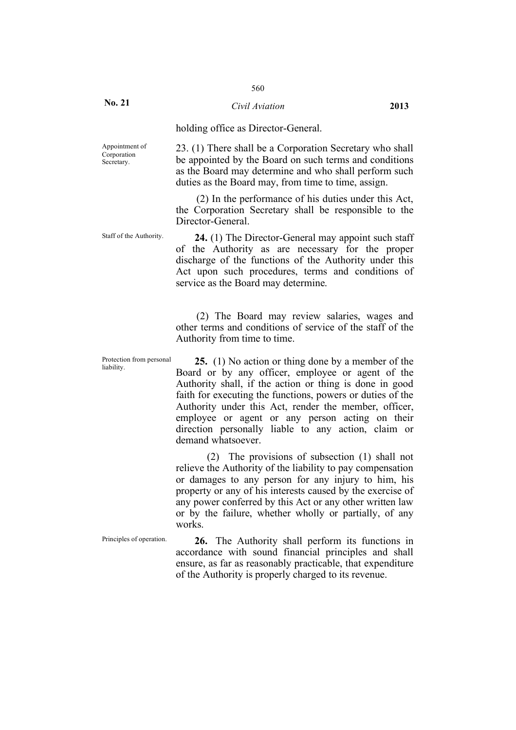**No. 21**

### *Civil Aviation* **2013**

holding office as Director-General.

Appointment of Corporation Secretary.

23. (1) There shall be a Corporation Secretary who shall be appointed by the Board on such terms and conditions as the Board may determine and who shall perform such duties as the Board may, from time to time, assign.

(2) In the performance of his duties under this Act, the Corporation Secretary shall be responsible to the Director-General.

Staff of the Authority. **24.** (1) The Director-General may appoint such staff of the Authority as are necessary for the proper discharge of the functions of the Authority under this Act upon such procedures, terms and conditions of service as the Board may determine.

> (2) The Board may review salaries, wages and other terms and conditions of service of the staff of the Authority from time to time.

Protection from personal

Protection from personal **25.** (1) No action or thing done by a member of the liability. Board or by any officer, employee or agent of the Authority shall, if the action or thing is done in good faith for executing the functions, powers or duties of the Authority under this Act, render the member, officer, employee or agent or any person acting on their direction personally liable to any action, claim or demand whatsoever.

> (2) The provisions of subsection (1) shall not relieve the Authority of the liability to pay compensation or damages to any person for any injury to him, his property or any of his interests caused by the exercise of any power conferred by this Act or any other written law or by the failure, whether wholly or partially, of any works.

Principles of operation. **26.** The Authority shall perform its functions in accordance with sound financial principles and shall ensure, as far as reasonably practicable, that expenditure of the Authority is properly charged to its revenue.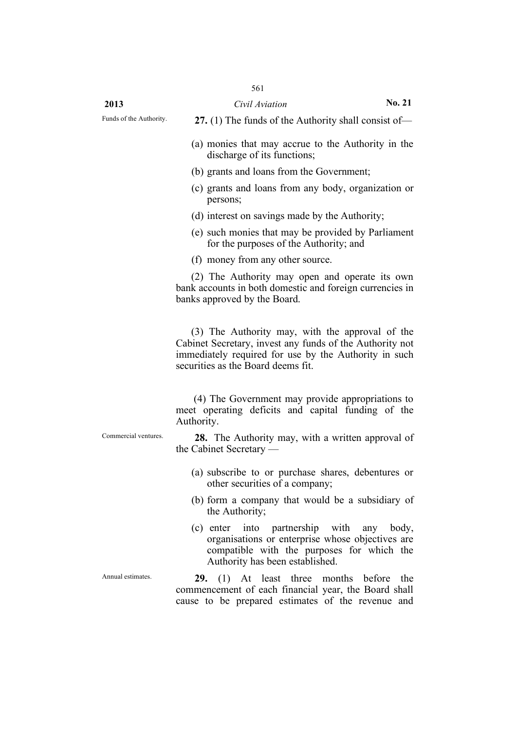Funds of the Authority. **27.** (1) The funds of the Authority shall consist of—

- (a) monies that may accrue to the Authority in the discharge of its functions;
- (b) grants and loans from the Government;
- (c) grants and loans from any body, organization or persons;
- (d) interest on savings made by the Authority;
- (e) such monies that may be provided by Parliament for the purposes of the Authority; and
- (f) money from any other source.

(2) The Authority may open and operate its own bank accounts in both domestic and foreign currencies in banks approved by the Board.

(3) The Authority may, with the approval of the Cabinet Secretary, invest any funds of the Authority not immediately required for use by the Authority in such securities as the Board deems fit.

(4) The Government may provide appropriations to meet operating deficits and capital funding of the Authority.

Commercial ventures. **28.** The Authority may, with a written approval of the Cabinet Secretary —

- (a) subscribe to or purchase shares, debentures or other securities of a company;
- (b) form a company that would be a subsidiary of the Authority;
- (c) enter into partnership with any body, organisations or enterprise whose objectives are compatible with the purposes for which the Authority has been established.

Annual estimates. **29.** (1) At least three months before the commencement of each financial year, the Board shall cause to be prepared estimates of the revenue and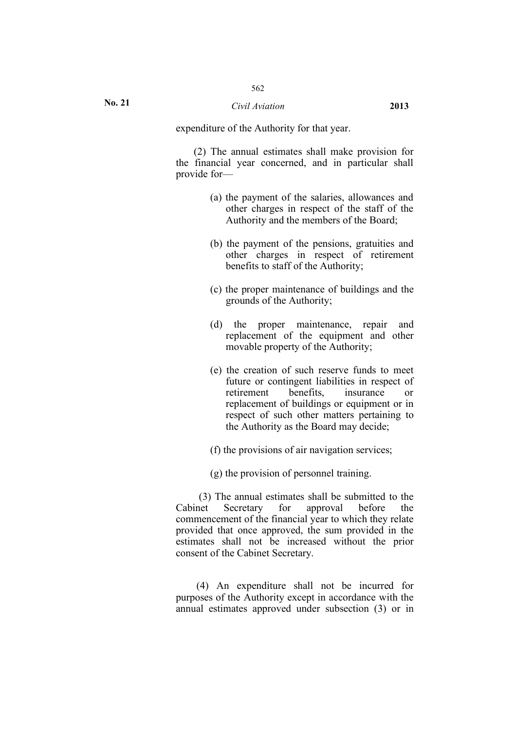#### *Civil Aviation* **2013**

expenditure of the Authority for that year.

(2) The annual estimates shall make provision for the financial year concerned, and in particular shall provide for—

- (a) the payment of the salaries, allowances and other charges in respect of the staff of the Authority and the members of the Board;
- (b) the payment of the pensions, gratuities and other charges in respect of retirement benefits to staff of the Authority;
- (c) the proper maintenance of buildings and the grounds of the Authority;
- (d) the proper maintenance, repair and replacement of the equipment and other movable property of the Authority;
- (e) the creation of such reserve funds to meet future or contingent liabilities in respect of<br>retirement benefits insurance or retirement benefits insurance or replacement of buildings or equipment or in respect of such other matters pertaining to the Authority as the Board may decide;
- (f) the provisions of air navigation services;
- (g) the provision of personnel training.

(3) The annual estimates shall be submitted to the Cabinet Secretary for approval before the commencement of the financial year to which they relate provided that once approved, the sum provided in the estimates shall not be increased without the prior consent of the Cabinet Secretary.

(4) An expenditure shall not be incurred for purposes of the Authority except in accordance with the annual estimates approved under subsection (3) or in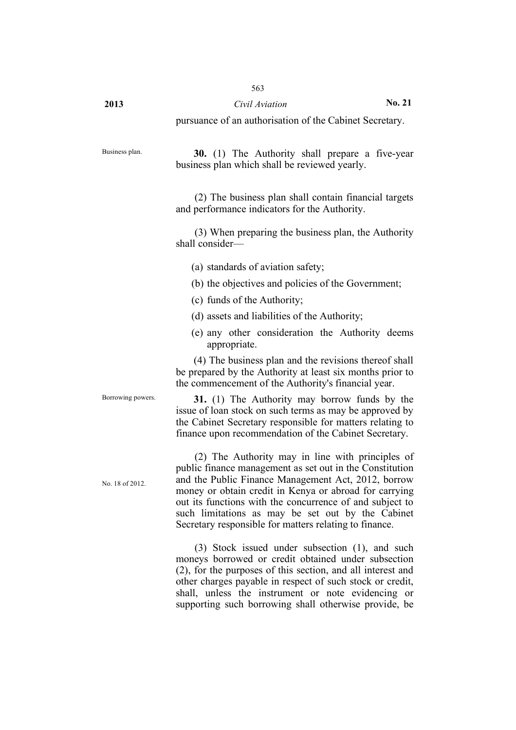563

pursuance of an authorisation of the Cabinet Secretary.

Business plan. **30.** (1) The Authority shall prepare a five-year business plan which shall be reviewed yearly.

> (2) The business plan shall contain financial targets and performance indicators for the Authority.

> (3) When preparing the business plan, the Authority shall consider—

- (a) standards of aviation safety;
- (b) the objectives and policies of the Government;
- (c) funds of the Authority;
- (d) assets and liabilities of the Authority;
- (e) any other consideration the Authority deems appropriate.

(4) The business plan and the revisions thereof shall be prepared by the Authority at least six months prior to the commencement of the Authority's financial year.

**31.** (1) The Authority may borrow funds by the issue of loan stock on such terms as may be approved by the Cabinet Secretary responsible for matters relating to finance upon recommendation of the Cabinet Secretary.

No. 18 of 2012.

Borrowing powers.

(2) The Authority may in line with principles of public finance management as set out in the Constitution and the Public Finance Management Act, 2012, borrow money or obtain credit in Kenya or abroad for carrying out its functions with the concurrence of and subject to such limitations as may be set out by the Cabinet Secretary responsible for matters relating to finance.

(3) Stock issued under subsection (1), and such moneys borrowed or credit obtained under subsection (2), for the purposes of this section, and all interest and other charges payable in respect of such stock or credit, shall, unless the instrument or note evidencing or supporting such borrowing shall otherwise provide, be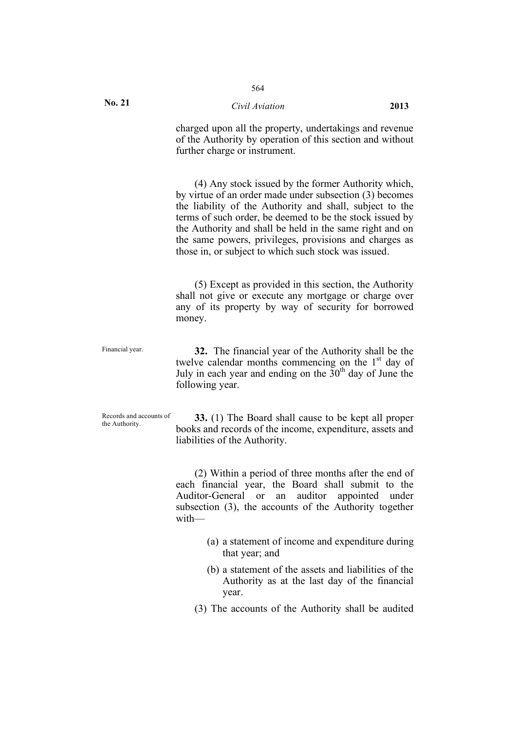### *Civil Aviation* **2013**

charged upon all the property, undertakings and revenue of the Authority by operation of this section and without further charge or instrument.

(4) Any stock issued by the former Authority which, by virtue of an order made under subsection (3) becomes the liability of the Authority and shall, subject to the terms of such order, be deemed to be the stock issued by the Authority and shall be held in the same right and on the same powers, privileges, provisions and charges as those in, or subject to which such stock was issued.

(5) Except as provided in this section, the Authority shall not give or execute any mortgage or charge over any of its property by way of security for borrowed money.

Financial year. **32.** The financial year of the Authority shall be the twelve calendar months commencing on the  $1<sup>st</sup>$  day of July in each year and ending on the  $30<sup>th</sup>$  day of June the following year.

Records and accounts of<br>the Authority

**33.** (1) The Board shall cause to be kept all proper books and records of the income, expenditure, assets and liabilities of the Authority.

(2) Within a period of three months after the end of each financial year, the Board shall submit to the Auditor-General or an auditor appointed under subsection (3), the accounts of the Authority together with—

- (a) a statement of income and expenditure during that year; and
- (b) a statement of the assets and liabilities of the Authority as at the last day of the financial year.
- (3) The accounts of the Authority shall be audited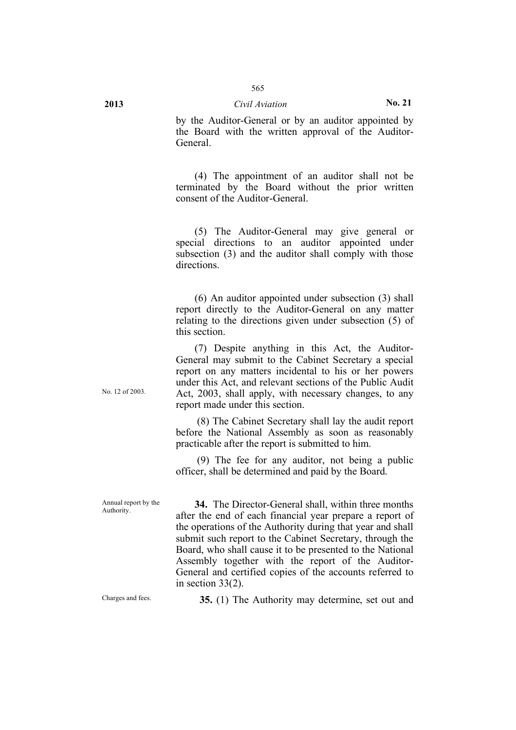by the Auditor-General or by an auditor appointed by the Board with the written approval of the Auditor-General.

(4) The appointment of an auditor shall not be terminated by the Board without the prior written consent of the Auditor-General.

(5) The Auditor-General may give general or special directions to an auditor appointed under subsection (3) and the auditor shall comply with those directions.

(6) An auditor appointed under subsection (3) shall report directly to the Auditor-General on any matter relating to the directions given under subsection (5) of this section.

(7) Despite anything in this Act, the Auditor-General may submit to the Cabinet Secretary a special report on any matters incidental to his or her powers under this Act, and relevant sections of the Public Audit Act, 2003, shall apply, with necessary changes, to any report made under this section.

(8) The Cabinet Secretary shall lay the audit report before the National Assembly as soon as reasonably practicable after the report is submitted to him.

(9) The fee for any auditor, not being a public officer, shall be determined and paid by the Board.

Annual report by the **34.** The Director-General shall, within three months after the end of each financial year prepare a report of the operations of the Authority during that year and shall submit such report to the Cabinet Secretary, through the Board, who shall cause it to be presented to the National Assembly together with the report of the Auditor-General and certified copies of the accounts referred to in section 33(2).

Annual report by the

Charges and fees. **35.** (1) The Authority may determine, set out and

No. 12 of 2003.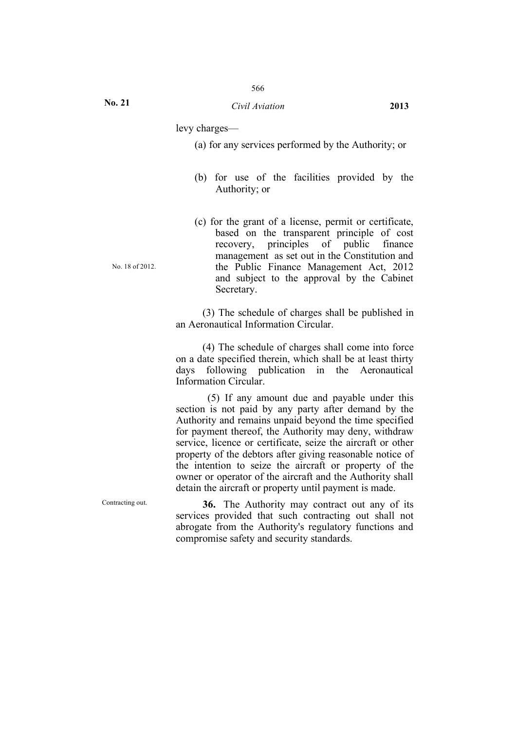levy charges—

(a) for any services performed by the Authority; or

- (b) for use of the facilities provided by the Authority; or
- (c) for the grant of a license, permit or certificate, based on the transparent principle of cost recovery, principles of public finance management as set out in the Constitution and the Public Finance Management Act, 2012 and subject to the approval by the Cabinet Secretary.

(3) The schedule of charges shall be published in an Aeronautical Information Circular.

(4) The schedule of charges shall come into force on a date specified therein, which shall be at least thirty days following publication in the Aeronautical Information Circular.

(5) If any amount due and payable under this section is not paid by any party after demand by the Authority and remains unpaid beyond the time specified for payment thereof, the Authority may deny, withdraw service, licence or certificate, seize the aircraft or other property of the debtors after giving reasonable notice of the intention to seize the aircraft or property of the owner or operator of the aircraft and the Authority shall detain the aircraft or property until payment is made.

Contracting out. **36.** The Authority may contract out any of its services provided that such contracting out shall not abrogate from the Authority's regulatory functions and compromise safety and security standards.

No. 18 of 2012.

**No. 21**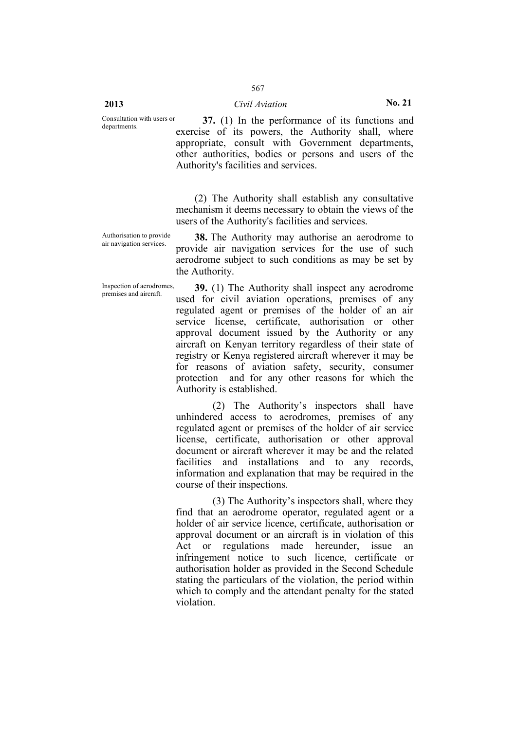Consultation with users or

**37.** (1) In the performance of its functions and exercise of its powers, the Authority shall, where appropriate, consult with Government departments, other authorities, bodies or persons and users of the Authority's facilities and services.

(2) The Authority shall establish any consultative mechanism it deems necessary to obtain the views of the users of the Authority's facilities and services.

Authorisation to provide

**38.** The Authority may authorise an aerodrome to provide air navigation services for the use of such aerodrome subject to such conditions as may be set by the Authority.

Inspection of aerodromes, Inspection of aerodromes, **39.** (1) The Authority shall inspect any aerodrome premises and aircraft used for civil aviation operations, premises of any regulated agent or premises of the holder of an air service license, certificate, authorisation or other approval document issued by the Authority or any aircraft on Kenyan territory regardless of their state of registry or Kenya registered aircraft wherever it may be for reasons of aviation safety, security, consumer protection and for any other reasons for which the Authority is established.

> (2) The Authority's inspectors shall have unhindered access to aerodromes, premises of any regulated agent or premises of the holder of air service license, certificate, authorisation or other approval document or aircraft wherever it may be and the related facilities and installations and to any records, information and explanation that may be required in the course of their inspections.

> (3) The Authority's inspectors shall, where they find that an aerodrome operator, regulated agent or a holder of air service licence, certificate, authorisation or approval document or an aircraft is in violation of this Act or regulations made hereunder, issue an infringement notice to such licence, certificate or authorisation holder as provided in the Second Schedule stating the particulars of the violation, the period within which to comply and the attendant penalty for the stated violation.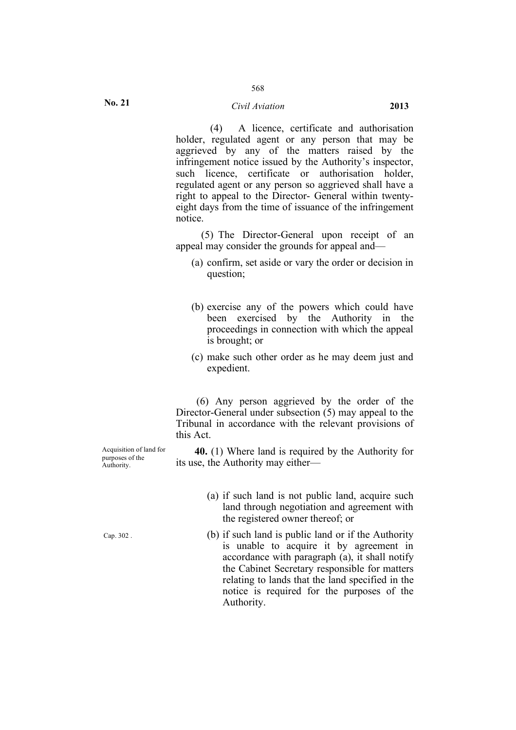### 568

#### *Civil Aviation* **2013**

(4) A licence, certificate and authorisation holder, regulated agent or any person that may be aggrieved by any of the matters raised by the infringement notice issued by the Authority's inspector, such licence, certificate or authorisation holder, regulated agent or any person so aggrieved shall have a right to appeal to the Director- General within twentyeight days from the time of issuance of the infringement notice.

(5) The Director-General upon receipt of an appeal may consider the grounds for appeal and—

- (a) confirm, set aside or vary the order or decision in question;
- (b) exercise any of the powers which could have been exercised by the Authority in the proceedings in connection with which the appeal is brought; or
- (c) make such other order as he may deem just and expedient.

(6) Any person aggrieved by the order of the Director-General under subsection (5) may appeal to the Tribunal in accordance with the relevant provisions of this Act.

**40.** (1) Where land is required by the Authority for its use, the Authority may either—

> (a) if such land is not public land, acquire such land through negotiation and agreement with the registered owner thereof; or

> (b) if such land is public land or if the Authority is unable to acquire it by agreement in accordance with paragraph (a), it shall notify the Cabinet Secretary responsible for matters relating to lands that the land specified in the notice is required for the purposes of the Authority.

Acquisition of land for purposes of the Authority.

Cap. 302 .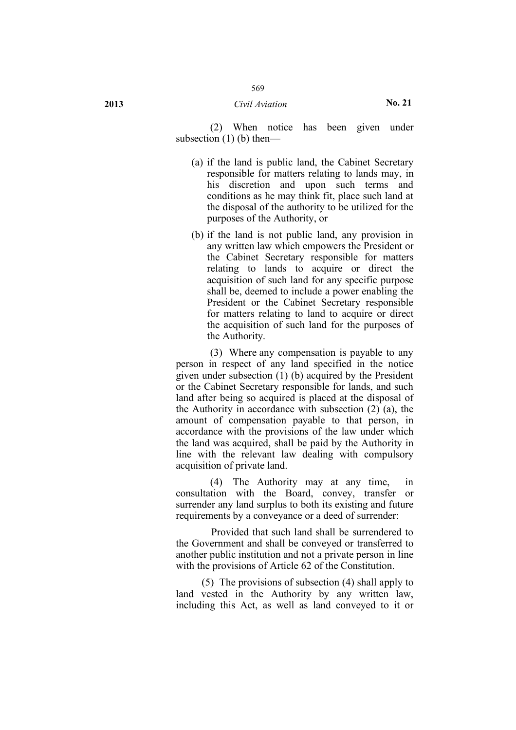(2) When notice has been given under subsection (1) (b) then—

- (a) if the land is public land, the Cabinet Secretary responsible for matters relating to lands may, in his discretion and upon such terms and conditions as he may think fit, place such land at the disposal of the authority to be utilized for the purposes of the Authority, or
- (b) if the land is not public land, any provision in any written law which empowers the President or the Cabinet Secretary responsible for matters relating to lands to acquire or direct the acquisition of such land for any specific purpose shall be, deemed to include a power enabling the President or the Cabinet Secretary responsible for matters relating to land to acquire or direct the acquisition of such land for the purposes of the Authority.

(3) Where any compensation is payable to any person in respect of any land specified in the notice given under subsection (1) (b) acquired by the President or the Cabinet Secretary responsible for lands, and such land after being so acquired is placed at the disposal of the Authority in accordance with subsection (2) (a), the amount of compensation payable to that person, in accordance with the provisions of the law under which the land was acquired, shall be paid by the Authority in line with the relevant law dealing with compulsory acquisition of private land.

(4) The Authority may at any time, in consultation with the Board, convey, transfer or surrender any land surplus to both its existing and future requirements by a conveyance or a deed of surrender:

Provided that such land shall be surrendered to the Government and shall be conveyed or transferred to another public institution and not a private person in line with the provisions of Article 62 of the Constitution.

(5) The provisions of subsection (4) shall apply to land vested in the Authority by any written law, including this Act, as well as land conveyed to it or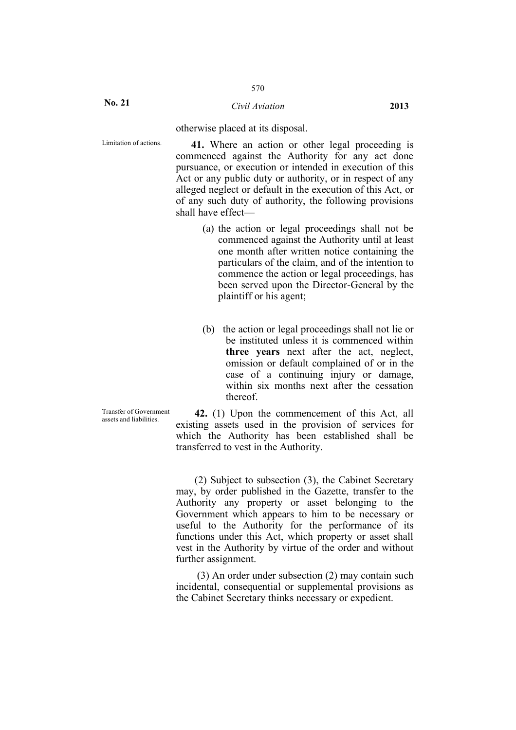otherwise placed at its disposal.

Limitation of actions. **41.** Where an action or other legal proceeding is commenced against the Authority for any act done pursuance, or execution or intended in execution of this Act or any public duty or authority, or in respect of any alleged neglect or default in the execution of this Act, or of any such duty of authority, the following provisions shall have effect—

- (a) the action or legal proceedings shall not be commenced against the Authority until at least one month after written notice containing the particulars of the claim, and of the intention to commence the action or legal proceedings, has been served upon the Director-General by the plaintiff or his agent;
- (b) the action or legal proceedings shall not lie or be instituted unless it is commenced within **three years** next after the act, neglect, omission or default complained of or in the case of a continuing injury or damage, within six months next after the cessation thereof.

Transfer of Government

Transfer of Government **42.** (1) Upon the commencement of this Act, all assets and liabilities existing assets used in the provision of services for which the Authority has been established shall be transferred to vest in the Authority.

> (2) Subject to subsection (3), the Cabinet Secretary may, by order published in the Gazette, transfer to the Authority any property or asset belonging to the Government which appears to him to be necessary or useful to the Authority for the performance of its functions under this Act, which property or asset shall vest in the Authority by virtue of the order and without further assignment.

> (3) An order under subsection (2) may contain such incidental, consequential or supplemental provisions as the Cabinet Secretary thinks necessary or expedient.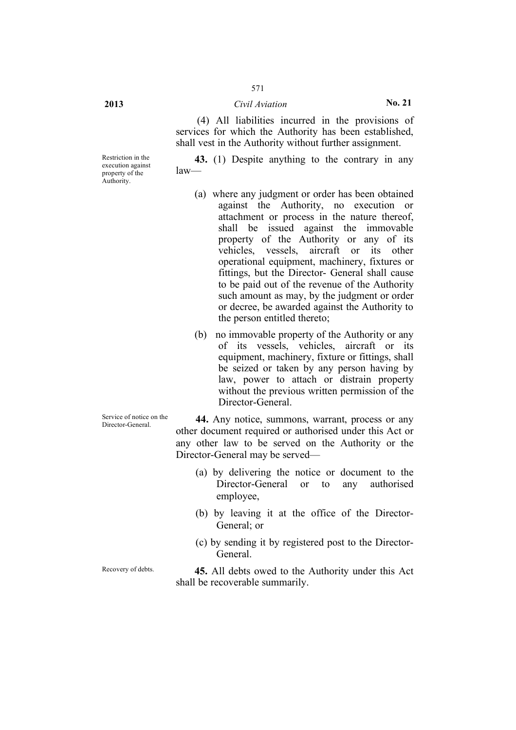## **2013** *Civil Aviation* **No. 21**

571

(4) All liabilities incurred in the provisions of services for which the Authority has been established, shall vest in the Authority without further assignment.

**43.** (1) Despite anything to the contrary in any law—

- (a) where any judgment or order has been obtained against the Authority, no execution or attachment or process in the nature thereof, shall be issued against the immovable property of the Authority or any of its vehicles, vessels, aircraft or its other operational equipment, machinery, fixtures or fittings, but the Director- General shall cause to be paid out of the revenue of the Authority such amount as may, by the judgment or order or decree, be awarded against the Authority to the person entitled thereto;
- (b) no immovable property of the Authority or any of its vessels, vehicles, aircraft or its equipment, machinery, fixture or fittings, shall be seized or taken by any person having by law, power to attach or distrain property without the previous written permission of the Director-General.

Service of notice on the **44.** Any notice, summons, warrant, process or any Director-General other document required or authorised under this Act or any other law to be served on the Authority or the Director-General may be served—

- (a) by delivering the notice or document to the Director-General or to any authorised employee,
- (b) by leaving it at the office of the Director-General; or
- (c) by sending it by registered post to the Director-General.

Recovery of debts. **45.** All debts owed to the Authority under this Act shall be recoverable summarily.

Restriction in the execution against property of the Authority.

Service of notice on the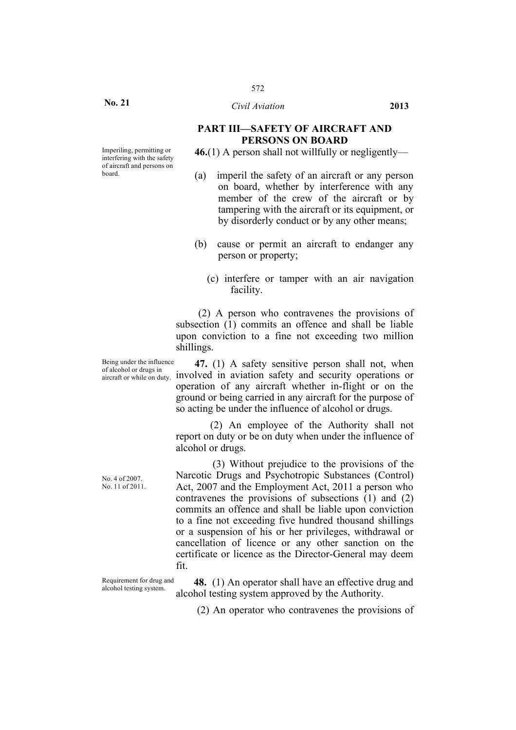### **PART III—SAFETY OF AIRCRAFT AND PERSONS ON BOARD**

**46.**(1) A person shall not willfully or negligently—

- (a) imperil the safety of an aircraft or any person on board, whether by interference with any member of the crew of the aircraft or by tampering with the aircraft or its equipment, or by disorderly conduct or by any other means;
- (b) cause or permit an aircraft to endanger any person or property;
	- (c) interfere or tamper with an air navigation facility.

(2) A person who contravenes the provisions of subsection (1) commits an offence and shall be liable upon conviction to a fine not exceeding two million shillings.

**47.** (1) A safety sensitive person shall not, when involved in aviation safety and security operations or operation of any aircraft whether in-flight or on the ground or being carried in any aircraft for the purpose of so acting be under the influence of alcohol or drugs.

(2) An employee of the Authority shall not report on duty or be on duty when under the influence of alcohol or drugs.

(3) Without prejudice to the provisions of the Narcotic Drugs and Psychotropic Substances (Control) Act, 2007 and the Employment Act, 2011 a person who contravenes the provisions of subsections (1) and (2) commits an offence and shall be liable upon conviction to a fine not exceeding five hundred thousand shillings or a suspension of his or her privileges, withdrawal or cancellation of licence or any other sanction on the certificate or licence as the Director-General may deem fit.

Requirement for drug and

Requirement for drug and **48.** (1) An operator shall have an effective drug and alcohol testing system. alcohol testing system approved by the Authority.

(2) An operator who contravenes the provisions of

Imperiling, permitting or interfering with the safety of aircraft and persons on board.

Being under the influence of alcohol or drugs in aircraft or while on duty.

No. 4 of 2007. No. 11 of 2011.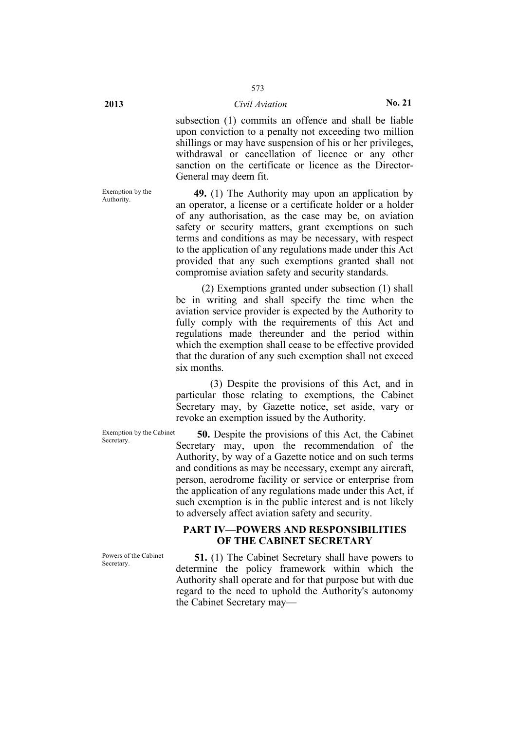subsection (1) commits an offence and shall be liable upon conviction to a penalty not exceeding two million shillings or may have suspension of his or her privileges, withdrawal or cancellation of licence or any other sanction on the certificate or licence as the Director-General may deem fit.

Exemption by the

**49.** (1) The Authority may upon an application by an operator, a license or a certificate holder or a holder of any authorisation, as the case may be, on aviation safety or security matters, grant exemptions on such terms and conditions as may be necessary, with respect to the application of any regulations made under this Act provided that any such exemptions granted shall not compromise aviation safety and security standards.

(2) Exemptions granted under subsection (1) shall be in writing and shall specify the time when the aviation service provider is expected by the Authority to fully comply with the requirements of this Act and regulations made thereunder and the period within which the exemption shall cease to be effective provided that the duration of any such exemption shall not exceed six months.

(3) Despite the provisions of this Act, and in particular those relating to exemptions, the Cabinet Secretary may, by Gazette notice, set aside, vary or revoke an exemption issued by the Authority.

Exemption by the Cabinet

Exemption by the Cabinet **50.** Despite the provisions of this Act, the Cabinet Secretary. Secretary may, upon the recommendation of the Authority, by way of a Gazette notice and on such terms and conditions as may be necessary, exempt any aircraft, person, aerodrome facility or service or enterprise from the application of any regulations made under this Act, if such exemption is in the public interest and is not likely to adversely affect aviation safety and security.

### **PART IV—POWERS AND RESPONSIBILITIES OF THE CABINET SECRETARY**

Powers of the Cabinet Powers of the Cabinet **51.** (1) The Cabinet Secretary shall have powers to Secretary determine the policy framework within which the Authority shall operate and for that purpose but with due regard to the need to uphold the Authority's autonomy the Cabinet Secretary may—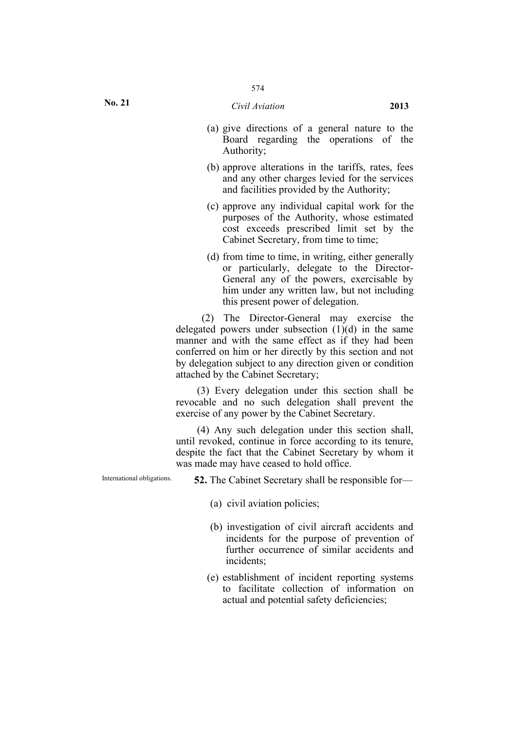- (a) give directions of a general nature to the Board regarding the operations of the Authority;
- (b) approve alterations in the tariffs, rates, fees and any other charges levied for the services and facilities provided by the Authority;
- (c) approve any individual capital work for the purposes of the Authority, whose estimated cost exceeds prescribed limit set by the Cabinet Secretary, from time to time;
- (d) from time to time, in writing, either generally or particularly, delegate to the Director-General any of the powers, exercisable by him under any written law, but not including this present power of delegation.

(2) The Director-General may exercise the delegated powers under subsection  $(1)(d)$  in the same manner and with the same effect as if they had been conferred on him or her directly by this section and not by delegation subject to any direction given or condition attached by the Cabinet Secretary;

(3) Every delegation under this section shall be revocable and no such delegation shall prevent the exercise of any power by the Cabinet Secretary.

(4) Any such delegation under this section shall, until revoked, continue in force according to its tenure, despite the fact that the Cabinet Secretary by whom it was made may have ceased to hold office.

International obligations. **52.** The Cabinet Secretary shall be responsible for—

- (a) civil aviation policies;
- (b) investigation of civil aircraft accidents and incidents for the purpose of prevention of further occurrence of similar accidents and incidents;
- (e) establishment of incident reporting systems to facilitate collection of information on actual and potential safety deficiencies;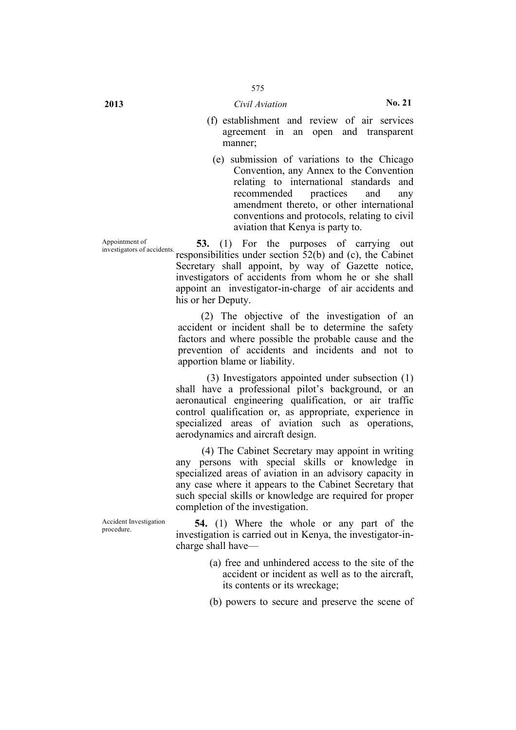- (f) establishment and review of air services agreement in an open and transparent manner;
	- (e) submission of variations to the Chicago Convention, any Annex to the Convention relating to international standards and recommended practices and any amendment thereto, or other international conventions and protocols, relating to civil aviation that Kenya is party to.

Appointment of Appointment of<br>investigators of accidents. **53.** (1) For the purposes of carrying out responsibilities under section 52(b) and (c), the Cabinet Secretary shall appoint, by way of Gazette notice, investigators of accidents from whom he or she shall appoint an investigator-in-charge of air accidents and his or her Deputy.

> (2) The objective of the investigation of an accident or incident shall be to determine the safety factors and where possible the probable cause and the prevention of accidents and incidents and not to apportion blame or liability.

> (3) Investigators appointed under subsection (1) shall have a professional pilot's background, or an aeronautical engineering qualification, or air traffic control qualification or, as appropriate, experience in specialized areas of aviation such as operations, aerodynamics and aircraft design.

> (4) The Cabinet Secretary may appoint in writing any persons with special skills or knowledge in specialized areas of aviation in an advisory capacity in any case where it appears to the Cabinet Secretary that such special skills or knowledge are required for proper completion of the investigation.

Accident Investigation 54. (1) Where the whole or any part of the investigation is carried out in Kenya, the investigator-incharge shall have—

- (a) free and unhindered access to the site of the accident or incident as well as to the aircraft, its contents or its wreckage;
- (b) powers to secure and preserve the scene of

Accident Investigation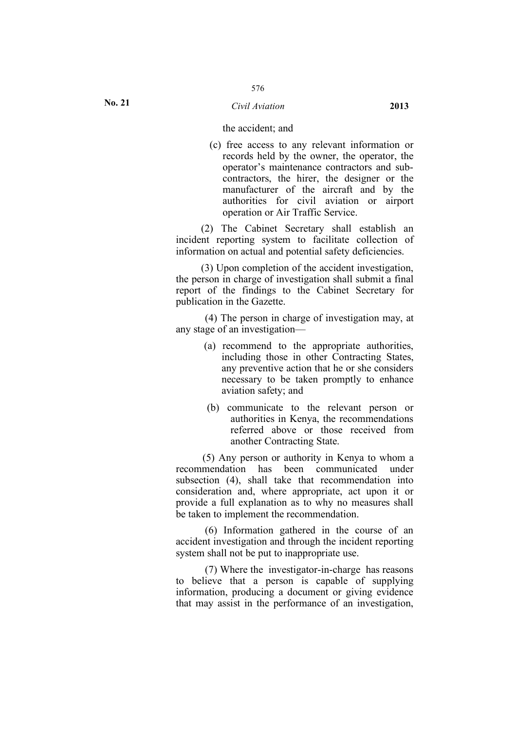(c) free access to any relevant information or records held by the owner, the operator, the operator's maintenance contractors and subcontractors, the hirer, the designer or the manufacturer of the aircraft and by the authorities for civil aviation or airport operation or Air Traffic Service.

(2) The Cabinet Secretary shall establish an incident reporting system to facilitate collection of information on actual and potential safety deficiencies.

(3) Upon completion of the accident investigation, the person in charge of investigation shall submit a final report of the findings to the Cabinet Secretary for publication in the Gazette.

(4) The person in charge of investigation may, at any stage of an investigation—

- (a) recommend to the appropriate authorities, including those in other Contracting States, any preventive action that he or she considers necessary to be taken promptly to enhance aviation safety; and
- (b) communicate to the relevant person or authorities in Kenya, the recommendations referred above or those received from another Contracting State.

(5) Any person or authority in Kenya to whom a recommendation has been communicated under subsection (4), shall take that recommendation into consideration and, where appropriate, act upon it or provide a full explanation as to why no measures shall be taken to implement the recommendation.

(6) Information gathered in the course of an accident investigation and through the incident reporting system shall not be put to inappropriate use.

(7) Where the investigator-in-charge has reasons to believe that a person is capable of supplying information, producing a document or giving evidence that may assist in the performance of an investigation,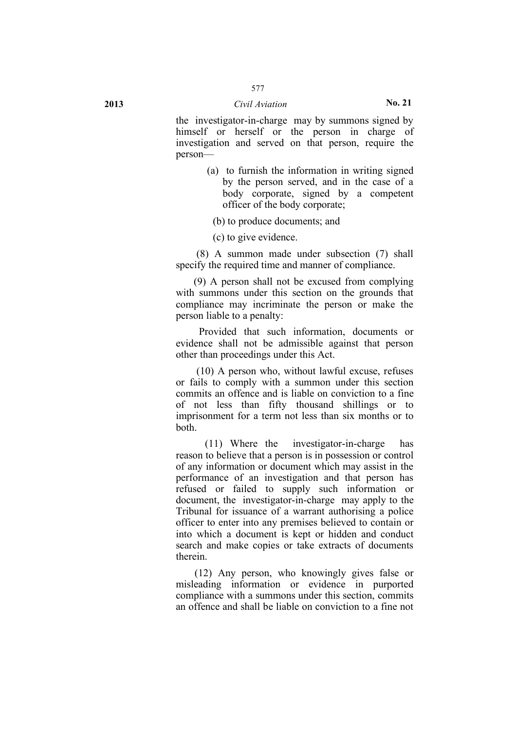the investigator-in-charge may by summons signed by himself or herself or the person in charge of investigation and served on that person, require the person—

> (a) to furnish the information in writing signed by the person served, and in the case of a body corporate, signed by a competent officer of the body corporate;

(b) to produce documents; and

(c) to give evidence.

(8) A summon made under subsection (7) shall specify the required time and manner of compliance.

(9) A person shall not be excused from complying with summons under this section on the grounds that compliance may incriminate the person or make the person liable to a penalty:

Provided that such information, documents or evidence shall not be admissible against that person other than proceedings under this Act.

(10) A person who, without lawful excuse, refuses or fails to comply with a summon under this section commits an offence and is liable on conviction to a fine of not less than fifty thousand shillings or to imprisonment for a term not less than six months or to both.

(11) Where the investigator-in-charge has reason to believe that a person is in possession or control of any information or document which may assist in the performance of an investigation and that person has refused or failed to supply such information or document, the investigator-in-charge may apply to the Tribunal for issuance of a warrant authorising a police officer to enter into any premises believed to contain or into which a document is kept or hidden and conduct search and make copies or take extracts of documents therein.

(12) Any person, who knowingly gives false or misleading information or evidence in purported compliance with a summons under this section, commits an offence and shall be liable on conviction to a fine not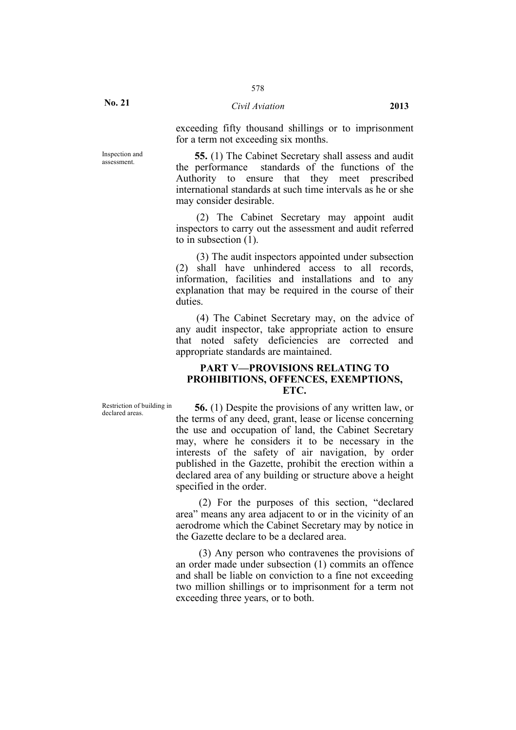**No. 21**

Inspection and

exceeding fifty thousand shillings or to imprisonment for a term not exceeding six months.

Inspection and **55.** (1) The Cabinet Secretary shall assess and audit assessment the performance standards of the functions of the Authority to ensure that they meet prescribed international standards at such time intervals as he or she may consider desirable.

> (2) The Cabinet Secretary may appoint audit inspectors to carry out the assessment and audit referred to in subsection (1).

> (3) The audit inspectors appointed under subsection (2) shall have unhindered access to all records, information, facilities and installations and to any explanation that may be required in the course of their duties.

> (4) The Cabinet Secretary may, on the advice of any audit inspector, take appropriate action to ensure that noted safety deficiencies are corrected and appropriate standards are maintained.

### **PART V—PROVISIONS RELATING TO PROHIBITIONS, OFFENCES, EXEMPTIONS, ETC.**

Restriction of building in

**56.** (1) Despite the provisions of any written law, or the terms of any deed, grant, lease or license concerning the use and occupation of land, the Cabinet Secretary may, where he considers it to be necessary in the interests of the safety of air navigation, by order published in the Gazette, prohibit the erection within a declared area of any building or structure above a height specified in the order.

(2) For the purposes of this section, "declared area" means any area adjacent to or in the vicinity of an aerodrome which the Cabinet Secretary may by notice in the Gazette declare to be a declared area.

(3) Any person who contravenes the provisions of an order made under subsection (1) commits an offence and shall be liable on conviction to a fine not exceeding two million shillings or to imprisonment for a term not exceeding three years, or to both.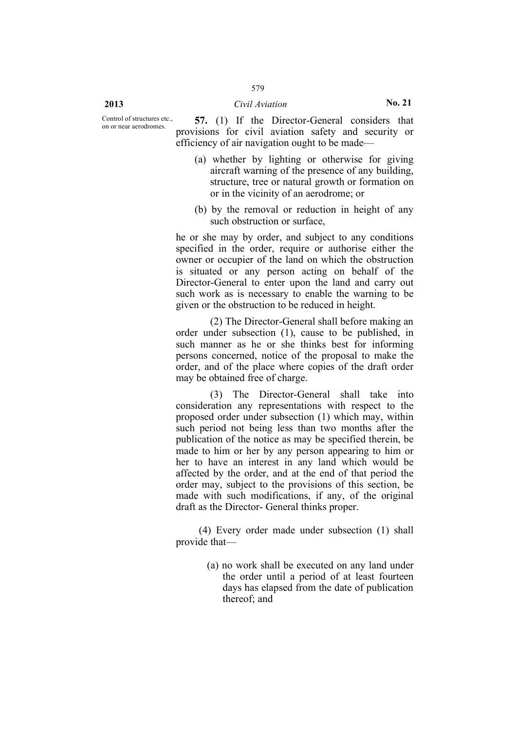Control of structures etc.,<br>on or near aerodromes.

57. (1) If the Director-General considers that provisions for civil aviation safety and security or efficiency of air navigation ought to be made—

- (a) whether by lighting or otherwise for giving aircraft warning of the presence of any building, structure, tree or natural growth or formation on or in the vicinity of an aerodrome; or
- (b) by the removal or reduction in height of any such obstruction or surface,

he or she may by order, and subject to any conditions specified in the order, require or authorise either the owner or occupier of the land on which the obstruction is situated or any person acting on behalf of the Director-General to enter upon the land and carry out such work as is necessary to enable the warning to be given or the obstruction to be reduced in height.

(2) The Director-General shall before making an order under subsection (1), cause to be published, in such manner as he or she thinks best for informing persons concerned, notice of the proposal to make the order, and of the place where copies of the draft order may be obtained free of charge.

(3) The Director-General shall take into consideration any representations with respect to the proposed order under subsection (1) which may, within such period not being less than two months after the publication of the notice as may be specified therein, be made to him or her by any person appearing to him or her to have an interest in any land which would be affected by the order, and at the end of that period the order may, subject to the provisions of this section, be made with such modifications, if any, of the original draft as the Director- General thinks proper.

(4) Every order made under subsection (1) shall provide that—

> (a) no work shall be executed on any land under the order until a period of at least fourteen days has elapsed from the date of publication thereof; and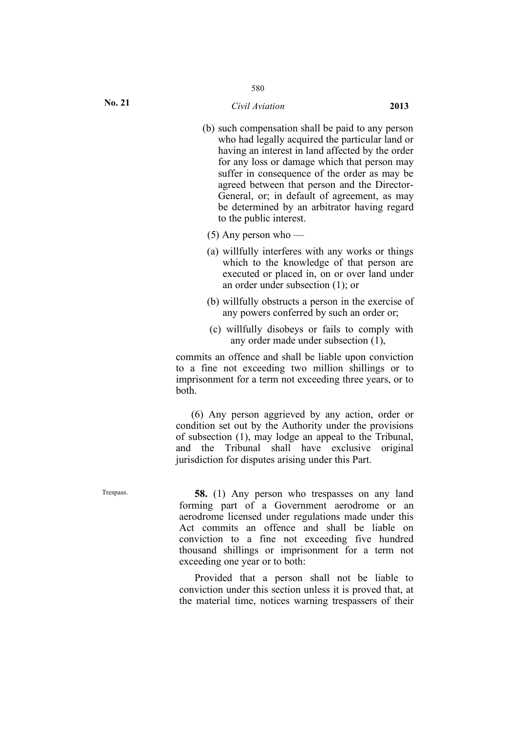- (b) such compensation shall be paid to any person who had legally acquired the particular land or having an interest in land affected by the order for any loss or damage which that person may suffer in consequence of the order as may be agreed between that person and the Director-General, or; in default of agreement, as may be determined by an arbitrator having regard to the public interest.
- (5) Any person who —
- (a) willfully interferes with any works or things which to the knowledge of that person are executed or placed in, on or over land under an order under subsection (1); or
- (b) willfully obstructs a person in the exercise of any powers conferred by such an order or;
- (c) willfully disobeys or fails to comply with any order made under subsection (1),

commits an offence and shall be liable upon conviction to a fine not exceeding two million shillings or to imprisonment for a term not exceeding three years, or to both.

(6) Any person aggrieved by any action, order or condition set out by the Authority under the provisions of subsection (1), may lodge an appeal to the Tribunal, and the Tribunal shall have exclusive original jurisdiction for disputes arising under this Part.

Trespass. **58.** (1) Any person who trespasses on any land forming part of a Government aerodrome or an aerodrome licensed under regulations made under this Act commits an offence and shall be liable on conviction to a fine not exceeding five hundred thousand shillings or imprisonment for a term not exceeding one year or to both:

> Provided that a person shall not be liable to conviction under this section unless it is proved that, at the material time, notices warning trespassers of their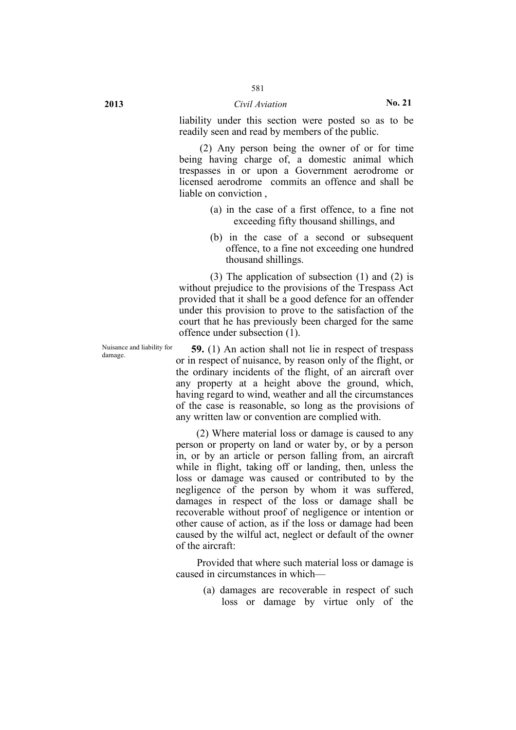# **2013** *Civil Aviation* **No. 21**

liability under this section were posted so as to be readily seen and read by members of the public.

(2) Any person being the owner of or for time being having charge of, a domestic animal which trespasses in or upon a Government aerodrome or licensed aerodrome commits an offence and shall be liable on conviction ,

- (a) in the case of a first offence, to a fine not exceeding fifty thousand shillings, and
- (b) in the case of a second or subsequent offence, to a fine not exceeding one hundred thousand shillings.

(3) The application of subsection (1) and (2) is without prejudice to the provisions of the Trespass Act provided that it shall be a good defence for an offender under this provision to prove to the satisfaction of the court that he has previously been charged for the same offence under subsection (1).

Nuisance and liability for<br>damage.

**59.** (1) An action shall not lie in respect of trespass or in respect of nuisance, by reason only of the flight, or the ordinary incidents of the flight, of an aircraft over any property at a height above the ground, which, having regard to wind, weather and all the circumstances of the case is reasonable, so long as the provisions of any written law or convention are complied with.

(2) Where material loss or damage is caused to any person or property on land or water by, or by a person in, or by an article or person falling from, an aircraft while in flight, taking off or landing, then, unless the loss or damage was caused or contributed to by the negligence of the person by whom it was suffered, damages in respect of the loss or damage shall be recoverable without proof of negligence or intention or other cause of action, as if the loss or damage had been caused by the wilful act, neglect or default of the owner of the aircraft:

Provided that where such material loss or damage is caused in circumstances in which—

> (a) damages are recoverable in respect of such loss or damage by virtue only of the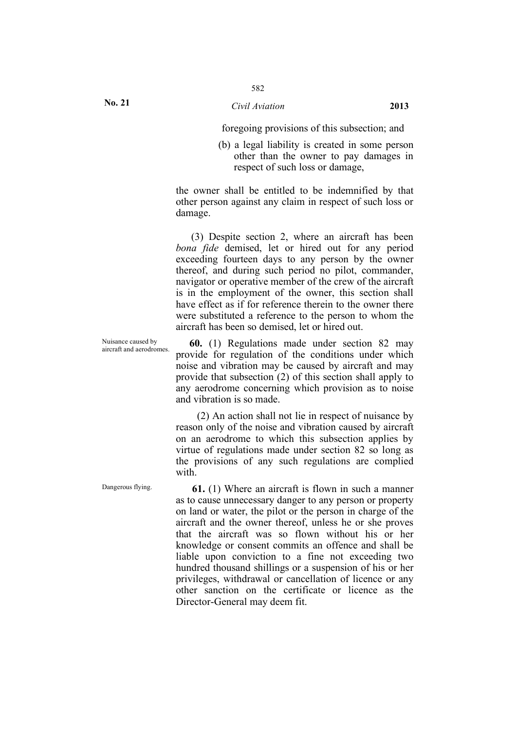foregoing provisions of this subsection; and

(b) a legal liability is created in some person other than the owner to pay damages in respect of such loss or damage,

the owner shall be entitled to be indemnified by that other person against any claim in respect of such loss or damage.

(3) Despite section 2, where an aircraft has been *bona fide* demised, let or hired out for any period exceeding fourteen days to any person by the owner thereof, and during such period no pilot, commander, navigator or operative member of the crew of the aircraft is in the employment of the owner, this section shall have effect as if for reference therein to the owner there were substituted a reference to the person to whom the aircraft has been so demised, let or hired out.

Nuisance caused by

Nuisance caused by **60.** (1) Regulations made under section 82 may aircraft and aerodromes provide for regulation of the conditions under which noise and vibration may be caused by aircraft and may provide that subsection (2) of this section shall apply to any aerodrome concerning which provision as to noise and vibration is so made.

> (2) An action shall not lie in respect of nuisance by reason only of the noise and vibration caused by aircraft on an aerodrome to which this subsection applies by virtue of regulations made under section 82 so long as the provisions of any such regulations are complied with

Dangerous flying. **61.** (1) Where an aircraft is flown in such a manner as to cause unnecessary danger to any person or property on land or water, the pilot or the person in charge of the aircraft and the owner thereof, unless he or she proves that the aircraft was so flown without his or her knowledge or consent commits an offence and shall be liable upon conviction to a fine not exceeding two hundred thousand shillings or a suspension of his or her privileges, withdrawal or cancellation of licence or any other sanction on the certificate or licence as the Director-General may deem fit.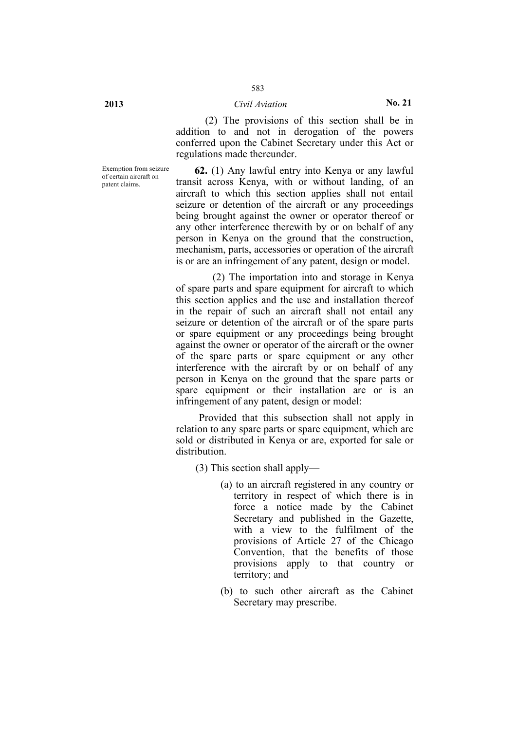(2) The provisions of this section shall be in addition to and not in derogation of the powers conferred upon the Cabinet Secretary under this Act or regulations made thereunder.

Exemption from seizure of certain aircraft on patent claims.

**62.** (1) Any lawful entry into Kenya or any lawful transit across Kenya, with or without landing, of an aircraft to which this section applies shall not entail seizure or detention of the aircraft or any proceedings being brought against the owner or operator thereof or any other interference therewith by or on behalf of any person in Kenya on the ground that the construction, mechanism, parts, accessories or operation of the aircraft is or are an infringement of any patent, design or model.

(2) The importation into and storage in Kenya of spare parts and spare equipment for aircraft to which this section applies and the use and installation thereof in the repair of such an aircraft shall not entail any seizure or detention of the aircraft or of the spare parts or spare equipment or any proceedings being brought against the owner or operator of the aircraft or the owner of the spare parts or spare equipment or any other interference with the aircraft by or on behalf of any person in Kenya on the ground that the spare parts or spare equipment or their installation are or is an infringement of any patent, design or model:

Provided that this subsection shall not apply in relation to any spare parts or spare equipment, which are sold or distributed in Kenya or are, exported for sale or distribution.

(3) This section shall apply—

- (a) to an aircraft registered in any country or territory in respect of which there is in force a notice made by the Cabinet Secretary and published in the Gazette, with a view to the fulfilment of the provisions of Article 27 of the Chicago Convention, that the benefits of those provisions apply to that country or territory; and
- (b) to such other aircraft as the Cabinet Secretary may prescribe.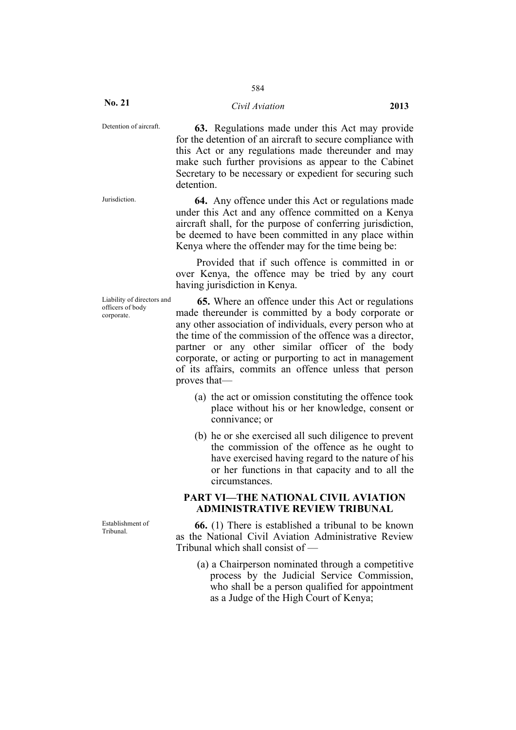# 584

#### *Civil Aviation* **2013**

Detention of aircraft. **63.** Regulations made under this Act may provide for the detention of an aircraft to secure compliance with this Act or any regulations made thereunder and may make such further provisions as appear to the Cabinet Secretary to be necessary or expedient for securing such detention.

Jurisdiction. **64.** Any offence under this Act or regulations made under this Act and any offence committed on a Kenya aircraft shall, for the purpose of conferring jurisdiction, be deemed to have been committed in any place within Kenya where the offender may for the time being be:

> Provided that if such offence is committed in or over Kenya, the offence may be tried by any court having jurisdiction in Kenya.

Liability of directors and officers of body corporate.

Establishment of

**65.** Where an offence under this Act or regulations made thereunder is committed by a body corporate or any other association of individuals, every person who at the time of the commission of the offence was a director, partner or any other similar officer of the body corporate, or acting or purporting to act in management of its affairs, commits an offence unless that person proves that—

- (a) the act or omission constituting the offence took place without his or her knowledge, consent or connivance; or
- (b) he or she exercised all such diligence to prevent the commission of the offence as he ought to have exercised having regard to the nature of his or her functions in that capacity and to all the circumstances.

# **PART VI—THE NATIONAL CIVIL AVIATION ADMINISTRATIVE REVIEW TRIBUNAL**

Establishment of **66.** (1) There is established a tribunal to be known as the National Civil Aviation Administrative Review Tribunal which shall consist of —

> (a) a Chairperson nominated through a competitive process by the Judicial Service Commission, who shall be a person qualified for appointment as a Judge of the High Court of Kenya;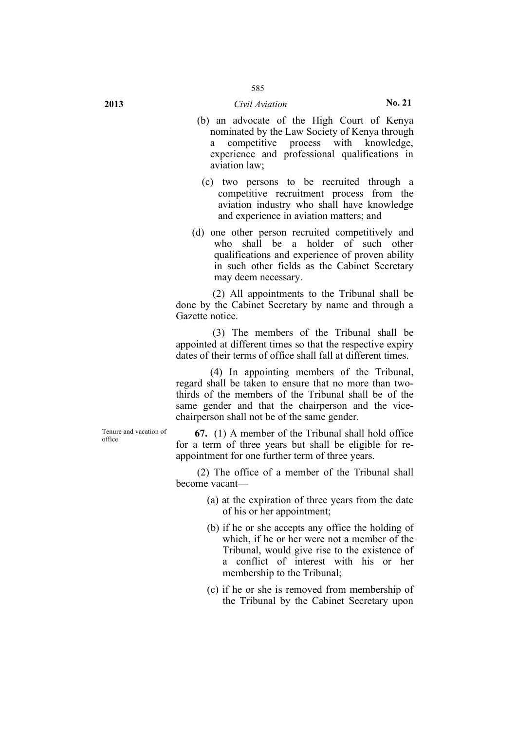- (b) an advocate of the High Court of Kenya nominated by the Law Society of Kenya through a competitive process with knowledge, experience and professional qualifications in aviation law;
- (c) two persons to be recruited through a competitive recruitment process from the aviation industry who shall have knowledge and experience in aviation matters; and
- (d) one other person recruited competitively and who shall be a holder of such other qualifications and experience of proven ability in such other fields as the Cabinet Secretary may deem necessary.

(2) All appointments to the Tribunal shall be done by the Cabinet Secretary by name and through a Gazette notice.

(3) The members of the Tribunal shall be appointed at different times so that the respective expiry dates of their terms of office shall fall at different times.

(4) In appointing members of the Tribunal, regard shall be taken to ensure that no more than twothirds of the members of the Tribunal shall be of the same gender and that the chairperson and the vicechairperson shall not be of the same gender.

Tenure and vacation of

Tenure and vacation of  $\qquad \qquad 67. \quad (1)$  A member of the Tribunal shall hold office for a term of three years but shall be eligible for reappointment for one further term of three years.

> (2) The office of a member of the Tribunal shall become vacant—

- (a) at the expiration of three years from the date of his or her appointment;
- (b) if he or she accepts any office the holding of which, if he or her were not a member of the Tribunal, would give rise to the existence of a conflict of interest with his or her membership to the Tribunal;
- (c) if he or she is removed from membership of the Tribunal by the Cabinet Secretary upon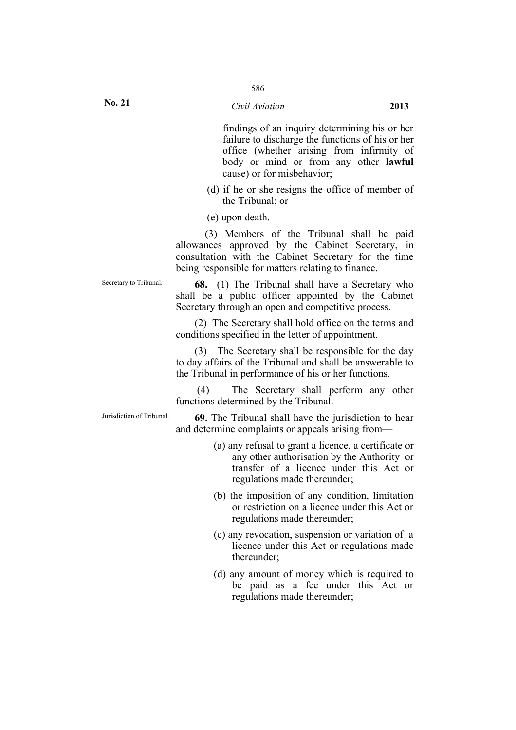findings of an inquiry determining his or her failure to discharge the functions of his or her office (whether arising from infirmity of body or mind or from any other **lawful** cause) or for misbehavior;

- (d) if he or she resigns the office of member of the Tribunal; or
- (e) upon death.

(3) Members of the Tribunal shall be paid allowances approved by the Cabinet Secretary, in consultation with the Cabinet Secretary for the time being responsible for matters relating to finance.

Secretary to Tribunal. **68.** (1) The Tribunal shall have a Secretary who shall be a public officer appointed by the Cabinet Secretary through an open and competitive process.

> (2) The Secretary shall hold office on the terms and conditions specified in the letter of appointment.

> (3) The Secretary shall be responsible for the day to day affairs of the Tribunal and shall be answerable to the Tribunal in performance of his or her functions.

> (4) The Secretary shall perform any other functions determined by the Tribunal.

Jurisdiction of Tribunal. **69.** The Tribunal shall have the jurisdiction to hear and determine complaints or appeals arising from—

- (a) any refusal to grant a licence, a certificate or any other authorisation by the Authority or transfer of a licence under this Act or regulations made thereunder;
- (b) the imposition of any condition, limitation or restriction on a licence under this Act or regulations made thereunder;
- (c) any revocation, suspension or variation of a licence under this Act or regulations made thereunder;
- (d) any amount of money which is required to be paid as a fee under this Act or regulations made thereunder;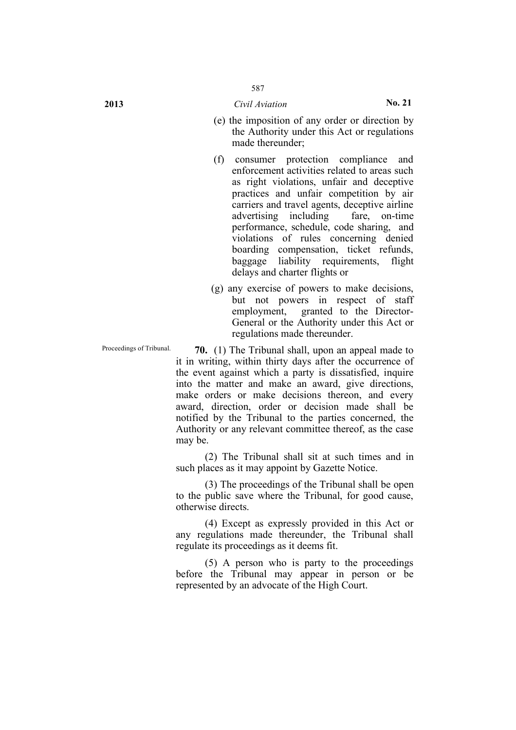- 
- (e) the imposition of any order or direction by the Authority under this Act or regulations made thereunder;
- (f) consumer protection compliance and enforcement activities related to areas such as right violations, unfair and deceptive practices and unfair competition by air carriers and travel agents, deceptive airline advertising including fare, on-time performance, schedule, code sharing, and violations of rules concerning denied boarding compensation, ticket refunds, baggage liability requirements, flight delays and charter flights or
- (g) any exercise of powers to make decisions, but not powers in respect of staff employment, granted to the Director-General or the Authority under this Act or regulations made thereunder.

Proceedings of Tribunal. **70.** (1) The Tribunal shall, upon an appeal made to it in writing, within thirty days after the occurrence of the event against which a party is dissatisfied, inquire into the matter and make an award, give directions, make orders or make decisions thereon, and every award, direction, order or decision made shall be notified by the Tribunal to the parties concerned, the Authority or any relevant committee thereof, as the case may be.

> (2) The Tribunal shall sit at such times and in such places as it may appoint by Gazette Notice.

> (3) The proceedings of the Tribunal shall be open to the public save where the Tribunal, for good cause, otherwise directs.

> (4) Except as expressly provided in this Act or any regulations made thereunder, the Tribunal shall regulate its proceedings as it deems fit.

> (5) A person who is party to the proceedings before the Tribunal may appear in person or be represented by an advocate of the High Court.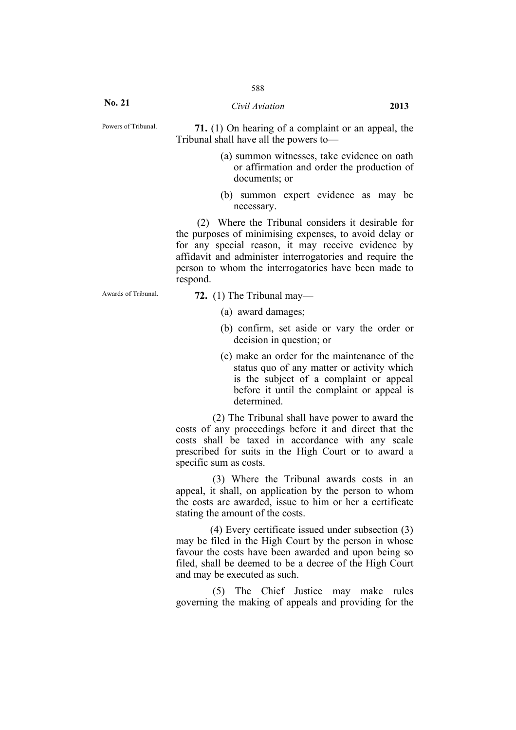**No. 21**

Powers of Tribunal. **71.** (1) On hearing of a complaint or an appeal, the Tribunal shall have all the powers to—

- (a) summon witnesses, take evidence on oath or affirmation and order the production of documents; or
- (b) summon expert evidence as may be necessary.

(2) Where the Tribunal considers it desirable for the purposes of minimising expenses, to avoid delay or for any special reason, it may receive evidence by affidavit and administer interrogatories and require the person to whom the interrogatories have been made to respond.

Awards of Tribunal. **72.** (1) The Tribunal may—

- (a) award damages;
- (b) confirm, set aside or vary the order or decision in question; or
- (c) make an order for the maintenance of the status quo of any matter or activity which is the subject of a complaint or appeal before it until the complaint or appeal is determined.

(2) The Tribunal shall have power to award the costs of any proceedings before it and direct that the costs shall be taxed in accordance with any scale prescribed for suits in the High Court or to award a specific sum as costs.

(3) Where the Tribunal awards costs in an appeal, it shall, on application by the person to whom the costs are awarded, issue to him or her a certificate stating the amount of the costs.

(4) Every certificate issued under subsection (3) may be filed in the High Court by the person in whose favour the costs have been awarded and upon being so filed, shall be deemed to be a decree of the High Court and may be executed as such.

(5) The Chief Justice may make rules governing the making of appeals and providing for the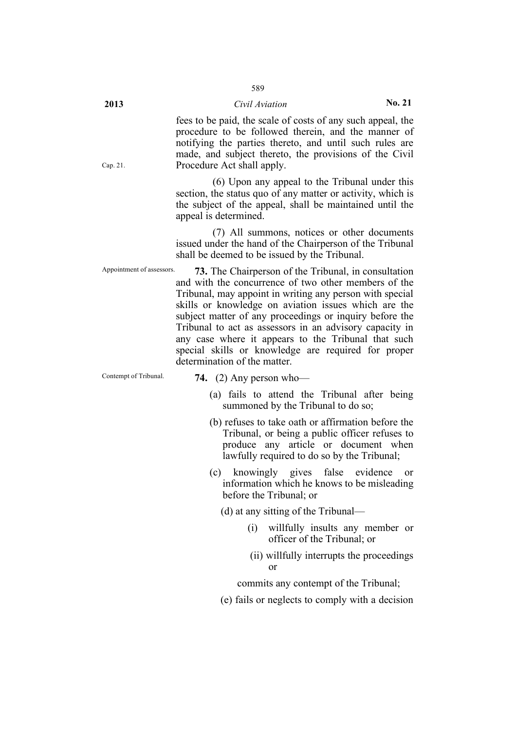fees to be paid, the scale of costs of any such appeal, the procedure to be followed therein, and the manner of notifying the parties thereto, and until such rules are made, and subject thereto, the provisions of the Civil Procedure Act shall apply.

(6) Upon any appeal to the Tribunal under this section, the status quo of any matter or activity, which is the subject of the appeal, shall be maintained until the appeal is determined.

(7) All summons, notices or other documents issued under the hand of the Chairperson of the Tribunal shall be deemed to be issued by the Tribunal.

Appointment of assessors. **73.** The Chairperson of the Tribunal, in consultation and with the concurrence of two other members of the Tribunal, may appoint in writing any person with special skills or knowledge on aviation issues which are the subject matter of any proceedings or inquiry before the Tribunal to act as assessors in an advisory capacity in any case where it appears to the Tribunal that such special skills or knowledge are required for proper determination of the matter.

Contempt of Tribunal. **74.** (2) Any person who—

- (a) fails to attend the Tribunal after being summoned by the Tribunal to do so;
- (b) refuses to take oath or affirmation before the Tribunal, or being a public officer refuses to produce any article or document when lawfully required to do so by the Tribunal;
- (c) knowingly gives false evidence or information which he knows to be misleading before the Tribunal; or
	- (d) at any sitting of the Tribunal—
		- (i) willfully insults any member or officer of the Tribunal; or
		- (ii) willfully interrupts the proceedings or

commits any contempt of the Tribunal;

(e) fails or neglects to comply with a decision

Cap. 21.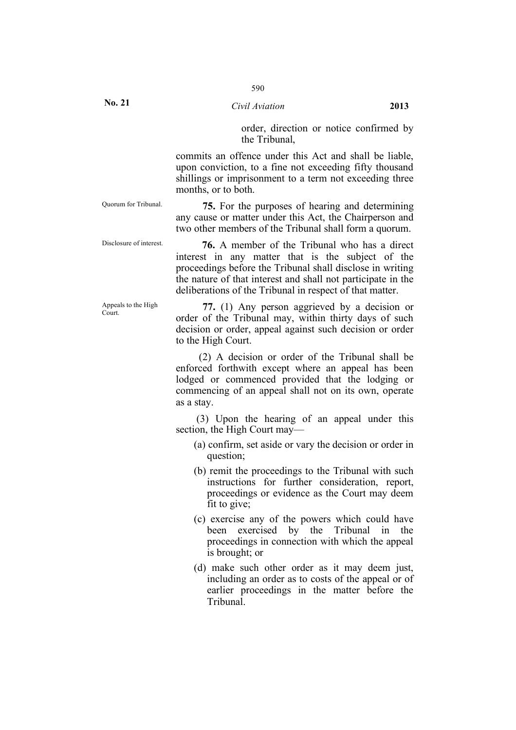**No. 21**

### *Civil Aviation* **2013**

order, direction or notice confirmed by the Tribunal,

commits an offence under this Act and shall be liable, upon conviction, to a fine not exceeding fifty thousand shillings or imprisonment to a term not exceeding three months, or to both.

Appeals to the High

Quorum for Tribunal. **75.** For the purposes of hearing and determining any cause or matter under this Act, the Chairperson and two other members of the Tribunal shall form a quorum.

Disclosure of interest. **76.** A member of the Tribunal who has a direct interest in any matter that is the subject of the proceedings before the Tribunal shall disclose in writing the nature of that interest and shall not participate in the deliberations of the Tribunal in respect of that matter.

Appeals to the High  $\overline{77}$ . (1) Any person aggrieved by a decision or order of the Tribunal may, within thirty days of such decision or order, appeal against such decision or order to the High Court.

> (2) A decision or order of the Tribunal shall be enforced forthwith except where an appeal has been lodged or commenced provided that the lodging or commencing of an appeal shall not on its own, operate as a stay.

> (3) Upon the hearing of an appeal under this section, the High Court may—

- (a) confirm, set aside or vary the decision or order in question;
- (b) remit the proceedings to the Tribunal with such instructions for further consideration, report, proceedings or evidence as the Court may deem fit to give;
- (c) exercise any of the powers which could have been exercised by the Tribunal in the proceedings in connection with which the appeal is brought; or
- (d) make such other order as it may deem just, including an order as to costs of the appeal or of earlier proceedings in the matter before the Tribunal.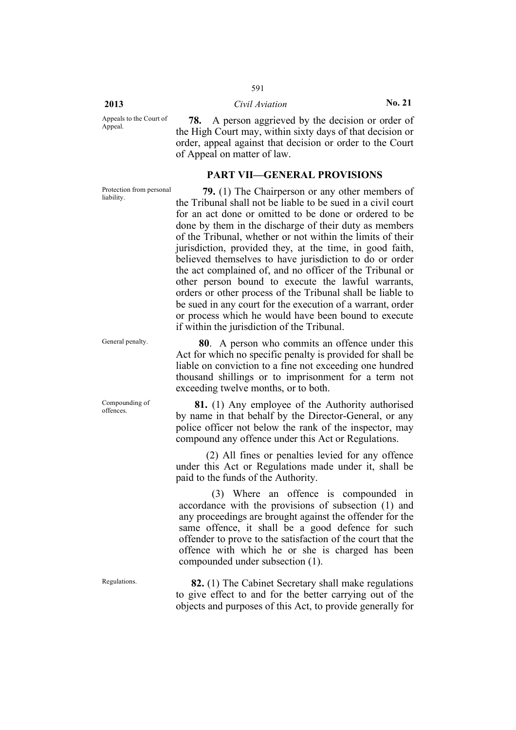#### **2013** *Civil Aviation* **No. 21**

591

Appeals to the Court of Appeal.

**78.** A person aggrieved by the decision or order of the High Court may, within sixty days of that decision or order, appeal against that decision or order to the Court of Appeal on matter of law.

# **PART VII—GENERAL PROVISIONS**

Protection from personal<br>liability.

Compounding of

**79.** (1) The Chairperson or any other members of the Tribunal shall not be liable to be sued in a civil court for an act done or omitted to be done or ordered to be done by them in the discharge of their duty as members of the Tribunal, whether or not within the limits of their jurisdiction, provided they, at the time, in good faith, believed themselves to have jurisdiction to do or order the act complained of, and no officer of the Tribunal or other person bound to execute the lawful warrants, orders or other process of the Tribunal shall be liable to be sued in any court for the execution of a warrant, order or process which he would have been bound to execute if within the jurisdiction of the Tribunal.

General penalty. **80**. A person who commits an offence under this Act for which no specific penalty is provided for shall be liable on conviction to a fine not exceeding one hundred thousand shillings or to imprisonment for a term not exceeding twelve months, or to both.

Compounding of **81.** (1) Any employee of the Authority authorised by name in that behalf by the Director-General, or any police officer not below the rank of the inspector, may compound any offence under this Act or Regulations.

> (2) All fines or penalties levied for any offence under this Act or Regulations made under it, shall be paid to the funds of the Authority.

(3) Where an offence is compounded in accordance with the provisions of subsection (1) and any proceedings are brought against the offender for the same offence, it shall be a good defence for such offender to prove to the satisfaction of the court that the offence with which he or she is charged has been compounded under subsection (1).

Regulations. **82.** (1) The Cabinet Secretary shall make regulations to give effect to and for the better carrying out of the objects and purposes of this Act, to provide generally for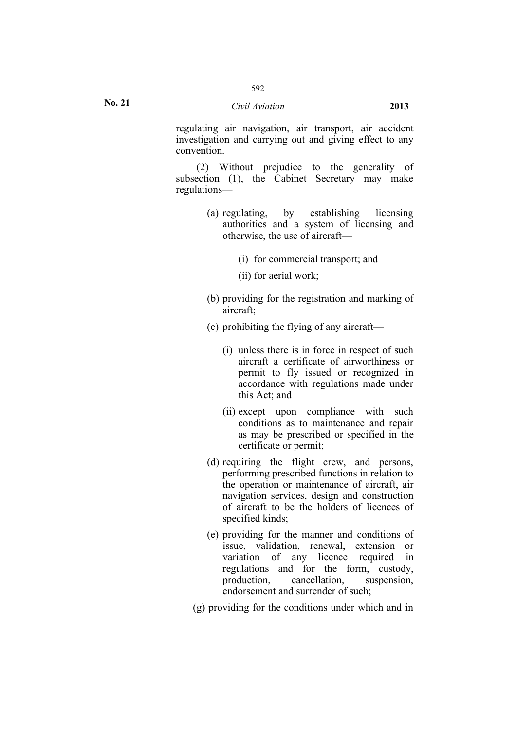regulating air navigation, air transport, air accident investigation and carrying out and giving effect to any convention.

(2) Without prejudice to the generality of subsection (1), the Cabinet Secretary may make regulations—

- (a) regulating, by establishing licensing authorities and a system of licensing and otherwise, the use of aircraft—
	- (i) for commercial transport; and
	- (ii) for aerial work;
- (b) providing for the registration and marking of aircraft;
- (c) prohibiting the flying of any aircraft—
	- (i) unless there is in force in respect of such aircraft a certificate of airworthiness or permit to fly issued or recognized in accordance with regulations made under this Act; and
	- (ii) except upon compliance with such conditions as to maintenance and repair as may be prescribed or specified in the certificate or permit;
- (d) requiring the flight crew, and persons, performing prescribed functions in relation to the operation or maintenance of aircraft, air navigation services, design and construction of aircraft to be the holders of licences of specified kinds;
- (e) providing for the manner and conditions of issue, validation, renewal, extension or variation of any licence required in regulations and for the form, custody, production, cancellation, suspension, endorsement and surrender of such;
- (g) providing for the conditions under which and in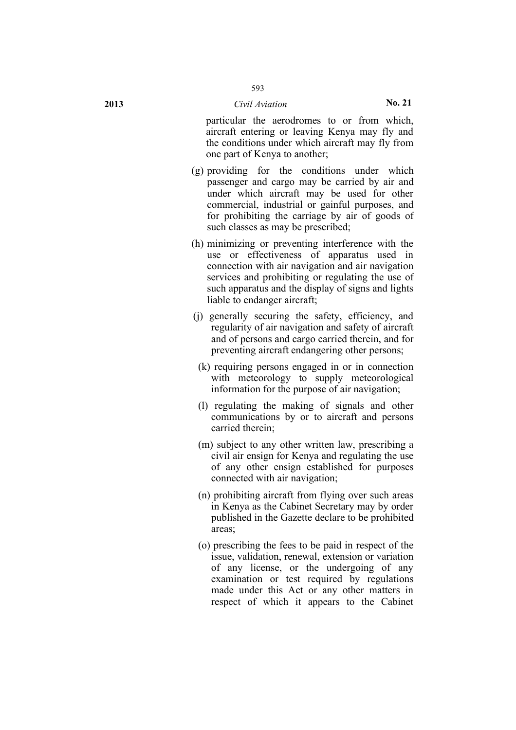particular the aerodromes to or from which, aircraft entering or leaving Kenya may fly and the conditions under which aircraft may fly from one part of Kenya to another;

- (g) providing for the conditions under which passenger and cargo may be carried by air and under which aircraft may be used for other commercial, industrial or gainful purposes, and for prohibiting the carriage by air of goods of such classes as may be prescribed;
- (h) minimizing or preventing interference with the use or effectiveness of apparatus used in connection with air navigation and air navigation services and prohibiting or regulating the use of such apparatus and the display of signs and lights liable to endanger aircraft;
- (j) generally securing the safety, efficiency, and regularity of air navigation and safety of aircraft and of persons and cargo carried therein, and for preventing aircraft endangering other persons;
	- (k) requiring persons engaged in or in connection with meteorology to supply meteorological information for the purpose of air navigation;
	- (l) regulating the making of signals and other communications by or to aircraft and persons carried therein;
	- (m) subject to any other written law, prescribing a civil air ensign for Kenya and regulating the use of any other ensign established for purposes connected with air navigation;
	- (n) prohibiting aircraft from flying over such areas in Kenya as the Cabinet Secretary may by order published in the Gazette declare to be prohibited areas;
	- (o) prescribing the fees to be paid in respect of the issue, validation, renewal, extension or variation of any license, or the undergoing of any examination or test required by regulations made under this Act or any other matters in respect of which it appears to the Cabinet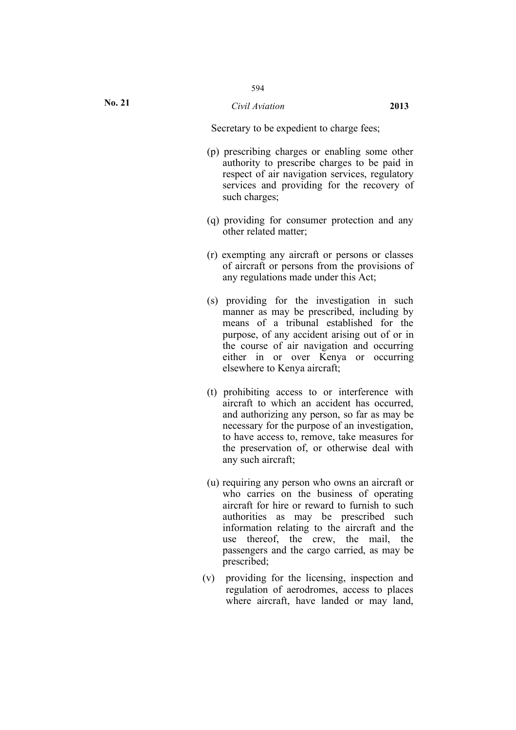Secretary to be expedient to charge fees;

- (p) prescribing charges or enabling some other authority to prescribe charges to be paid in respect of air navigation services, regulatory services and providing for the recovery of such charges;
- (q) providing for consumer protection and any other related matter;
- (r) exempting any aircraft or persons or classes of aircraft or persons from the provisions of any regulations made under this Act;
- (s) providing for the investigation in such manner as may be prescribed, including by means of a tribunal established for the purpose, of any accident arising out of or in the course of air navigation and occurring either in or over Kenya or occurring elsewhere to Kenya aircraft;
- (t) prohibiting access to or interference with aircraft to which an accident has occurred, and authorizing any person, so far as may be necessary for the purpose of an investigation, to have access to, remove, take measures for the preservation of, or otherwise deal with any such aircraft;
- (u) requiring any person who owns an aircraft or who carries on the business of operating aircraft for hire or reward to furnish to such authorities as may be prescribed such information relating to the aircraft and the use thereof, the crew, the mail, the passengers and the cargo carried, as may be prescribed;
- (v) providing for the licensing, inspection and regulation of aerodromes, access to places where aircraft, have landed or may land,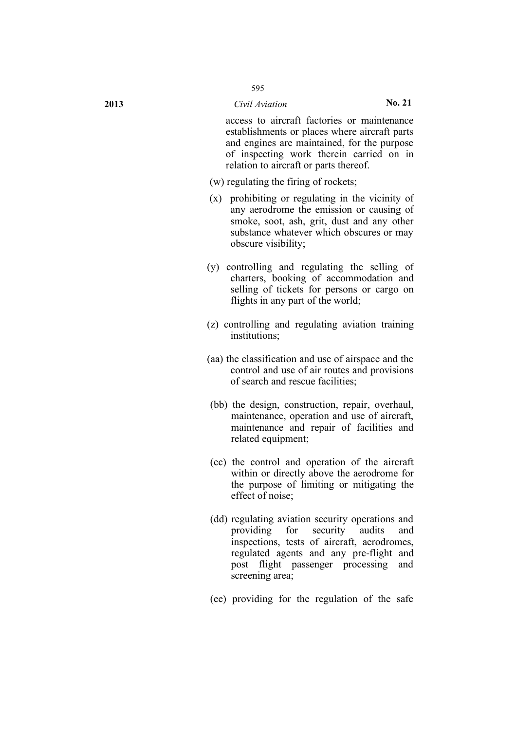**2013** *Civil Aviation* **No. 21**

access to aircraft factories or maintenance establishments or places where aircraft parts and engines are maintained, for the purpose of inspecting work therein carried on in relation to aircraft or parts thereof.

- (w) regulating the firing of rockets;
- (x) prohibiting or regulating in the vicinity of any aerodrome the emission or causing of smoke, soot, ash, grit, dust and any other substance whatever which obscures or may obscure visibility;
- (y) controlling and regulating the selling of charters, booking of accommodation and selling of tickets for persons or cargo on flights in any part of the world;
- (z) controlling and regulating aviation training institutions;
- (aa) the classification and use of airspace and the control and use of air routes and provisions of search and rescue facilities;
- (bb) the design, construction, repair, overhaul, maintenance, operation and use of aircraft, maintenance and repair of facilities and related equipment;
- (cc) the control and operation of the aircraft within or directly above the aerodrome for the purpose of limiting or mitigating the effect of noise;
- (dd) regulating aviation security operations and providing for security audits and inspections, tests of aircraft, aerodromes, regulated agents and any pre-flight and post flight passenger processing and screening area;
- (ee) providing for the regulation of the safe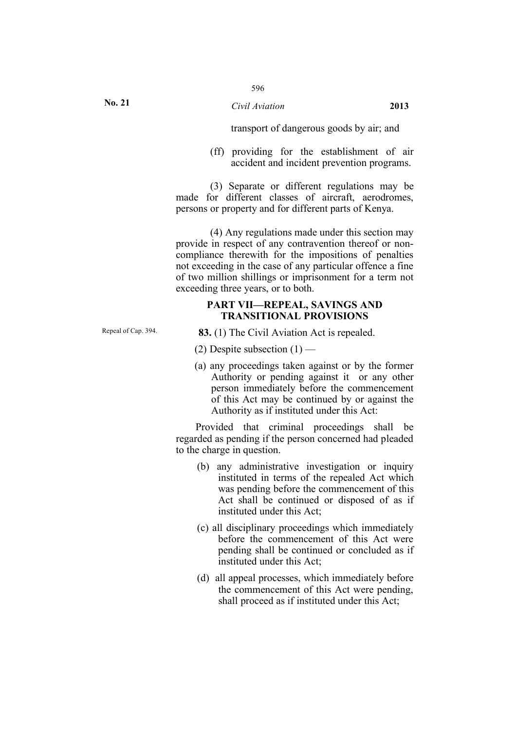transport of dangerous goods by air; and

(ff) providing for the establishment of air accident and incident prevention programs.

(3) Separate or different regulations may be made for different classes of aircraft, aerodromes, persons or property and for different parts of Kenya.

(4) Any regulations made under this section may provide in respect of any contravention thereof or noncompliance therewith for the impositions of penalties not exceeding in the case of any particular offence a fine of two million shillings or imprisonment for a term not exceeding three years, or to both.

## **PART VII—REPEAL, SAVINGS AND TRANSITIONAL PROVISIONS**

Repeal of Cap. 394. **83.** (1) The Civil Aviation Act is repealed.

(2) Despite subsection  $(1)$  —

(a) any proceedings taken against or by the former Authority or pending against it or any other person immediately before the commencement of this Act may be continued by or against the Authority as if instituted under this Act:

Provided that criminal proceedings shall be regarded as pending if the person concerned had pleaded to the charge in question.

- (b) any administrative investigation or inquiry instituted in terms of the repealed Act which was pending before the commencement of this Act shall be continued or disposed of as if instituted under this Act;
- (c) all disciplinary proceedings which immediately before the commencement of this Act were pending shall be continued or concluded as if instituted under this Act;
- (d) all appeal processes, which immediately before the commencement of this Act were pending, shall proceed as if instituted under this Act;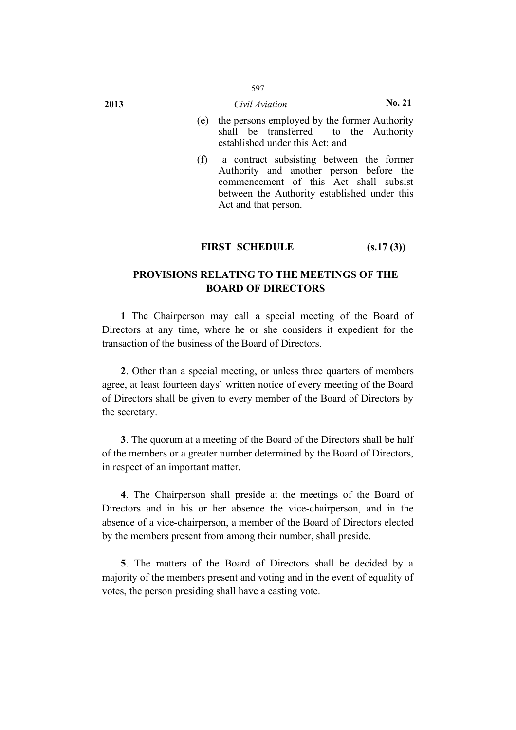# 597

- (e) the persons employed by the former Authority shall be transferred to the Authority established under this Act; and
- (f) a contract subsisting between the former Authority and another person before the commencement of this Act shall subsist between the Authority established under this Act and that person.

# **FIRST SCHEDULE (s.17 (3))**

# **PROVISIONS RELATING TO THE MEETINGS OF THE BOARD OF DIRECTORS**

**1** The Chairperson may call a special meeting of the Board of Directors at any time, where he or she considers it expedient for the transaction of the business of the Board of Directors.

**2**. Other than a special meeting, or unless three quarters of members agree, at least fourteen days' written notice of every meeting of the Board of Directors shall be given to every member of the Board of Directors by the secretary.

**3**. The quorum at a meeting of the Board of the Directors shall be half of the members or a greater number determined by the Board of Directors, in respect of an important matter.

**4**. The Chairperson shall preside at the meetings of the Board of Directors and in his or her absence the vice-chairperson, and in the absence of a vice-chairperson, a member of the Board of Directors elected by the members present from among their number, shall preside.

**5**. The matters of the Board of Directors shall be decided by a majority of the members present and voting and in the event of equality of votes, the person presiding shall have a casting vote.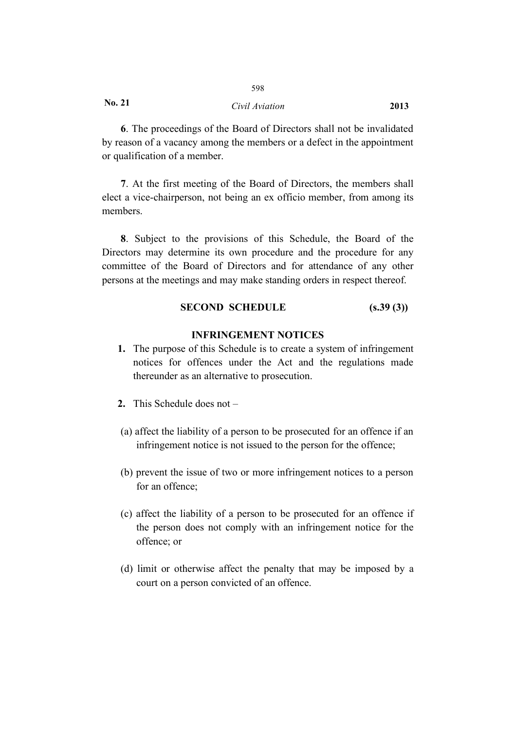598

**6**. The proceedings of the Board of Directors shall not be invalidated by reason of a vacancy among the members or a defect in the appointment or qualification of a member.

**7**. At the first meeting of the Board of Directors, the members shall elect a vice-chairperson, not being an ex officio member, from among its members.

**8**. Subject to the provisions of this Schedule, the Board of the Directors may determine its own procedure and the procedure for any committee of the Board of Directors and for attendance of any other persons at the meetings and may make standing orders in respect thereof.

## **SECOND SCHEDULE (s.39 (3))**

## **INFRINGEMENT NOTICES**

- **1.** The purpose of this Schedule is to create a system of infringement notices for offences under the Act and the regulations made thereunder as an alternative to prosecution.
- **2.** This Schedule does not –
- (a) affect the liability of a person to be prosecuted for an offence if an infringement notice is not issued to the person for the offence;
- (b) prevent the issue of two or more infringement notices to a person for an offence;
- (c) affect the liability of a person to be prosecuted for an offence if the person does not comply with an infringement notice for the offence; or
- (d) limit or otherwise affect the penalty that may be imposed by a court on a person convicted of an offence.

**No. 21**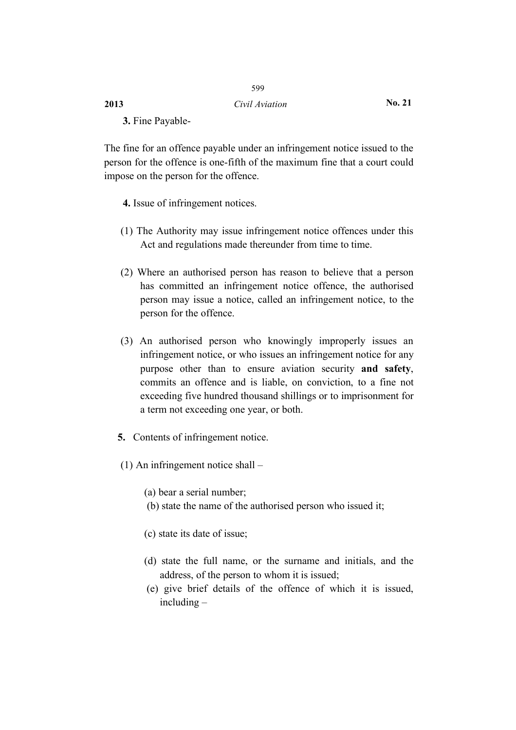## **2013** *Civil Aviation* **No. 21**

599

**3.** Fine Payable-

The fine for an offence payable under an infringement notice issued to the person for the offence is one-fifth of the maximum fine that a court could impose on the person for the offence.

**4.** Issue of infringement notices.

- (1) The Authority may issue infringement notice offences under this Act and regulations made thereunder from time to time.
- (2) Where an authorised person has reason to believe that a person has committed an infringement notice offence, the authorised person may issue a notice, called an infringement notice, to the person for the offence.
- (3) An authorised person who knowingly improperly issues an infringement notice, or who issues an infringement notice for any purpose other than to ensure aviation security **and safety**, commits an offence and is liable, on conviction, to a fine not exceeding five hundred thousand shillings or to imprisonment for a term not exceeding one year, or both.
- **5.** Contents of infringement notice.
- (1) An infringement notice shall –

(a) bear a serial number;

- (b) state the name of the authorised person who issued it;
- (c) state its date of issue;
- (d) state the full name, or the surname and initials, and the address, of the person to whom it is issued;
- (e) give brief details of the offence of which it is issued, including –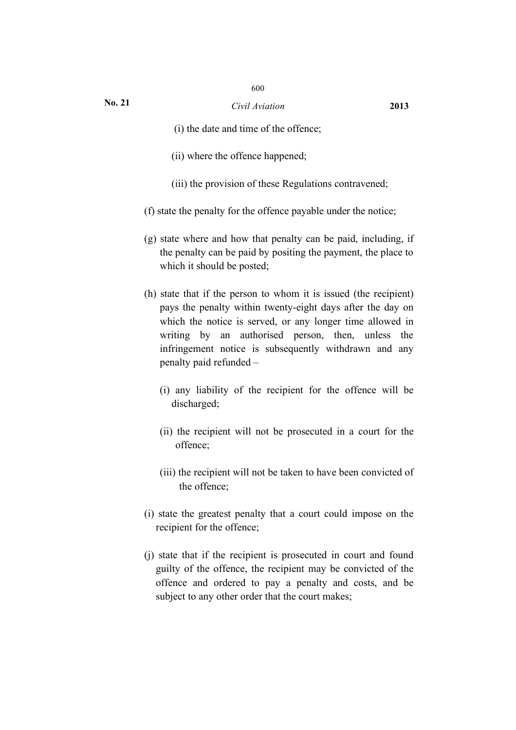- (i) the date and time of the offence;
- (ii) where the offence happened;
- (iii) the provision of these Regulations contravened;
- (f) state the penalty for the offence payable under the notice;
- (g) state where and how that penalty can be paid, including, if the penalty can be paid by positing the payment, the place to which it should be posted;
- (h) state that if the person to whom it is issued (the recipient) pays the penalty within twenty-eight days after the day on which the notice is served, or any longer time allowed in writing by an authorised person, then, unless the infringement notice is subsequently withdrawn and any penalty paid refunded –
	- (i) any liability of the recipient for the offence will be discharged;
	- (ii) the recipient will not be prosecuted in a court for the offence;
	- (iii) the recipient will not be taken to have been convicted of the offence;
- (i) state the greatest penalty that a court could impose on the recipient for the offence;
- (j) state that if the recipient is prosecuted in court and found guilty of the offence, the recipient may be convicted of the offence and ordered to pay a penalty and costs, and be subject to any other order that the court makes;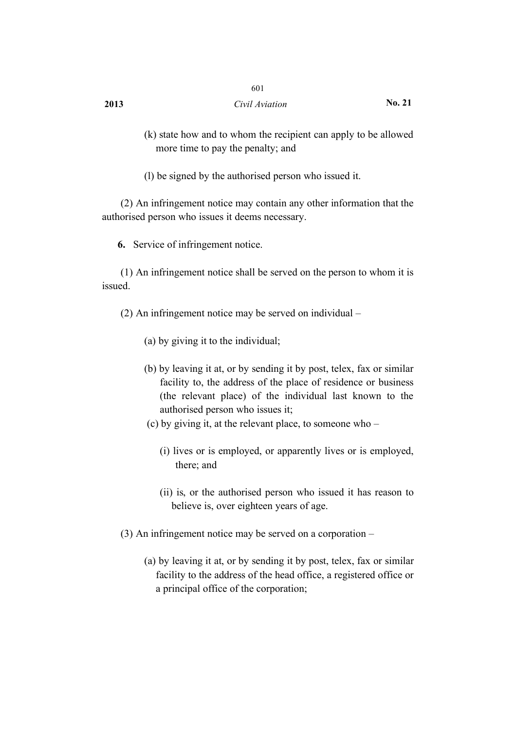# **2013** *Civil Aviation* **No. 21**

601

- (k) state how and to whom the recipient can apply to be allowed more time to pay the penalty; and
- (l) be signed by the authorised person who issued it.

(2) An infringement notice may contain any other information that the authorised person who issues it deems necessary.

**6.** Service of infringement notice.

(1) An infringement notice shall be served on the person to whom it is issued.

- (2) An infringement notice may be served on individual
	- (a) by giving it to the individual;
	- (b) by leaving it at, or by sending it by post, telex, fax or similar facility to, the address of the place of residence or business (the relevant place) of the individual last known to the authorised person who issues it;
	- (c) by giving it, at the relevant place, to someone who
		- (i) lives or is employed, or apparently lives or is employed, there; and
		- (ii) is, or the authorised person who issued it has reason to believe is, over eighteen years of age.
- (3) An infringement notice may be served on a corporation
	- (a) by leaving it at, or by sending it by post, telex, fax or similar facility to the address of the head office, a registered office or a principal office of the corporation;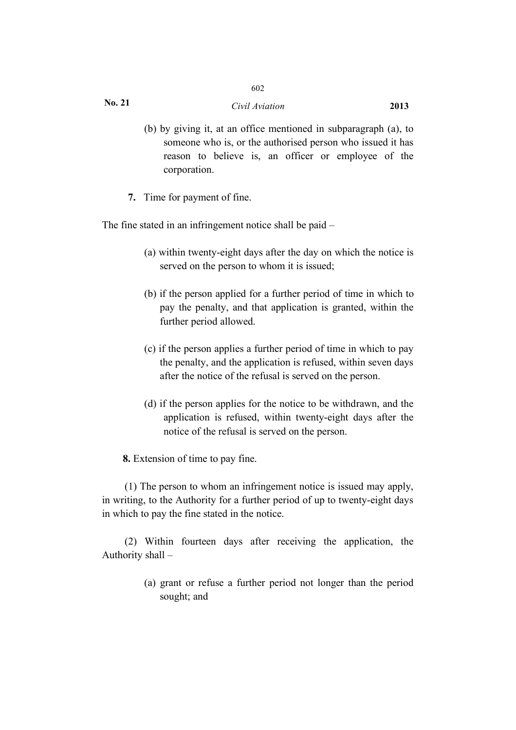602

- (b) by giving it, at an office mentioned in subparagraph (a), to someone who is, or the authorised person who issued it has reason to believe is, an officer or employee of the corporation.
- **7.** Time for payment of fine.

The fine stated in an infringement notice shall be paid –

- (a) within twenty-eight days after the day on which the notice is served on the person to whom it is issued;
- (b) if the person applied for a further period of time in which to pay the penalty, and that application is granted, within the further period allowed.
- (c) if the person applies a further period of time in which to pay the penalty, and the application is refused, within seven days after the notice of the refusal is served on the person.
- (d) if the person applies for the notice to be withdrawn, and the application is refused, within twenty-eight days after the notice of the refusal is served on the person.

**8.** Extension of time to pay fine.

(1) The person to whom an infringement notice is issued may apply, in writing, to the Authority for a further period of up to twenty-eight days in which to pay the fine stated in the notice.

(2) Within fourteen days after receiving the application, the Authority shall –

> (a) grant or refuse a further period not longer than the period sought; and

**No. 21**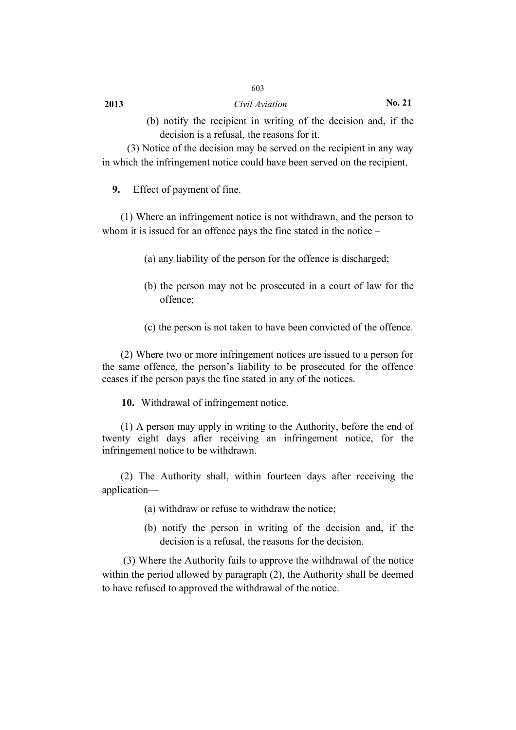## **2013** *Civil Aviation* **No. 21**

(3) Notice of the decision may be served on the recipient in any way in which the infringement notice could have been served on the recipient.

603

**9.** Effect of payment of fine.

(1) Where an infringement notice is not withdrawn, and the person to whom it is issued for an offence pays the fine stated in the notice –

- (a) any liability of the person for the offence is discharged;
- (b) the person may not be prosecuted in a court of law for the offence;
- (c) the person is not taken to have been convicted of the offence.

(2) Where two or more infringement notices are issued to a person for the same offence, the person's liability to be prosecuted for the offence ceases if the person pays the fine stated in any of the notices.

**10.** Withdrawal of infringement notice.

(1) A person may apply in writing to the Authority, before the end of twenty eight days after receiving an infringement notice, for the infringement notice to be withdrawn.

(2) The Authority shall, within fourteen days after receiving the application—

- (a) withdraw or refuse to withdraw the notice;
- (b) notify the person in writing of the decision and, if the decision is a refusal, the reasons for the decision.

(3) Where the Authority fails to approve the withdrawal of the notice within the period allowed by paragraph (2), the Authority shall be deemed to have refused to approved the withdrawal of the notice.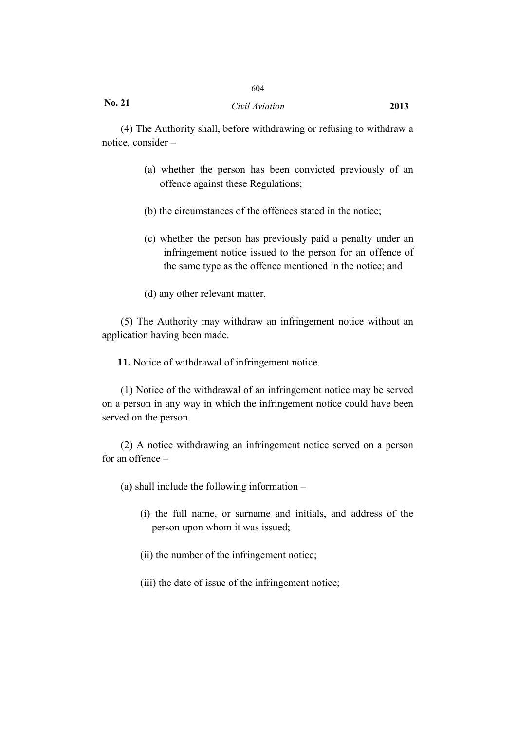## *Civil Aviation* **2013**

604

(4) The Authority shall, before withdrawing or refusing to withdraw a notice, consider –

- (a) whether the person has been convicted previously of an offence against these Regulations;
- (b) the circumstances of the offences stated in the notice;
- (c) whether the person has previously paid a penalty under an infringement notice issued to the person for an offence of the same type as the offence mentioned in the notice; and
- (d) any other relevant matter.

(5) The Authority may withdraw an infringement notice without an application having been made.

**11.** Notice of withdrawal of infringement notice.

(1) Notice of the withdrawal of an infringement notice may be served on a person in any way in which the infringement notice could have been served on the person.

(2) A notice withdrawing an infringement notice served on a person for an offence –

(a) shall include the following information –

- (i) the full name, or surname and initials, and address of the person upon whom it was issued;
- (ii) the number of the infringement notice;
- (iii) the date of issue of the infringement notice;

**No. 21**